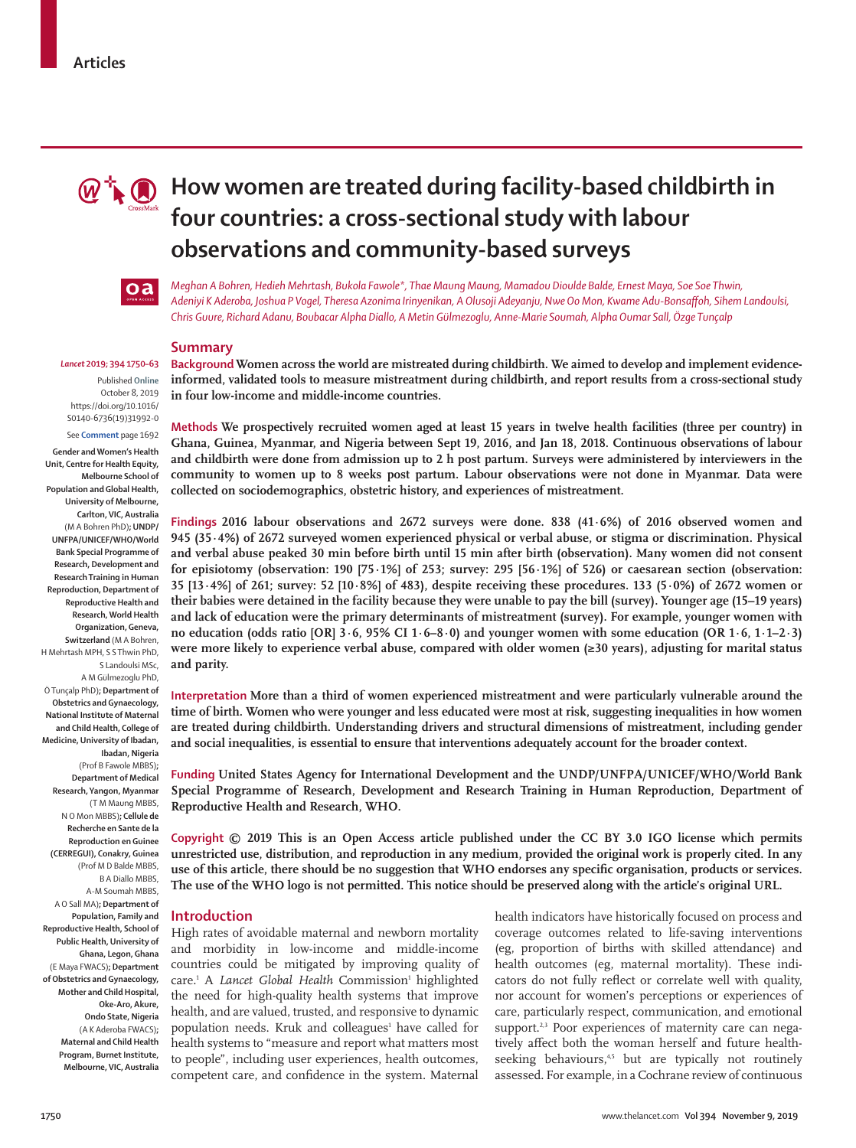

# **M**  $\mathbb{R}$  **How women are treated during facility-based childbirth in four countries: a cross-sectional study with labour observations and community-based surveys**



*Meghan A Bohren, Hedieh Mehrtash, Bukola Fawole\*, Thae Maung Maung, Mamadou Dioulde Balde, Ernest Maya, Soe Soe Thwin, Adeniyi K Aderoba, Joshua P Vogel, Theresa Azonima Irinyenikan, A Olusoji Adeyanju, Nwe Oo Mon, Kwame Adu-Bonsaffoh, Sihem Landoulsi, Chris Guure, Richard Adanu, Boubacar Alpha Diallo, A Metin Gülmezoglu, Anne-Marie Soumah, Alpha Oumar Sall, Özge Tunçalp*

#### **Summary**

#### *Lancet* **2019; 394 1750–63**

Published **Online** October 8, 2019 https://doi.org/10.1016/ S0140-6736(19)31992-0 See **Comment** page 1692

**Gender and Women's Health Unit, Centre for Health Equity, Melbourne School of Population and Global Health, University of Melbourne, Carlton, VIC, Australia** (M A Bohren PhD)**; UNDP/ UNFPA/UNICEF/WHO/World Bank Special Programme of Research, Development and Research Training in Human Reproduction, Department of Reproductive Health and Research, World Health Organization, Geneva, Switzerland** (M A Bohren, H Mehrtash MPH, S S Thwin PhD, S Landoulsi MSc, A M Gülmezoglu PhD, Ö Tunçalp PhD)**; Department of Obstetrics and Gynaecology, National Institute of Maternal and Child Health, College of Medicine, University of Ibadan, Ibadan, Nigeria**  (Prof B Fawole MBBS)**; Department of Medical Research, Yangon, Myanmar** (T M Maung MBBS, N O Mon MBBS)**; Cellule de Recherche en Sante de la Reproduction en Guinee (CERREGUI), Conakry, Guinea**  (Prof M D Balde MBBS, B A Diallo MBBS, A-M Soumah MBBS, A O Sall MA)**; Department of Population, Family and Reproductive Health, School of Public Health, University of Ghana, Legon, Ghana**  (E Maya FWACS)**; Department of Obstetrics and Gynaecology, Mother and Child Hospital, Oke-Aro, Akure, Ondo State, Nigeria**  (A K Aderoba FWACS)**;** 

**Maternal and Child Health Program, Burnet Institute, Melbourne, VIC, Australia** 

**Background Women across the world are mistreated during childbirth. We aimed to develop and implement evidenceinformed, validated tools to measure mistreatment during childbirth, and report results from a cross-sectional study** 

**in four low-income and middle-income countries. Methods We prospectively recruited women aged at least 15 years in twelve health facilities (three per country) in** 

**Ghana, Guinea, Myanmar, and Nigeria between Sept 19, 2016, and Jan 18, 2018. Continuous observations of labour and childbirth were done from admission up to 2 h post partum. Surveys were administered by interviewers in the community to women up to 8 weeks post partum. Labour observations were not done in Myanmar. Data were collected on sociodemographics, obstetric history, and experiences of mistreatment.**

**Findings 2016 labour observations and 2672 surveys were done. 838 (41·6%) of 2016 observed women and 945 (35·4%) of 2672 surveyed women experienced physical or verbal abuse, or stigma or discrimination. Physical and verbal abuse peaked 30 min before birth until 15 min after birth (observation). Many women did not consent for episiotomy (observation: 190 [75·1%] of 253; survey: 295 [56·1%] of 526) or caesarean section (observation: 35 [13·4%] of 261; survey: 52 [10·8%] of 483), despite receiving these procedures. 133 (5·0%) of 2672 women or their babies were detained in the facility because they were unable to pay the bill (survey). Younger age (15–19 years) and lack of education were the primary determinants of mistreatment (survey). For example, younger women with no education (odds ratio [OR] 3·6, 95% CI 1·6–8·0) and younger women with some education (OR 1·6, 1·1–2·3) were more likely to experience verbal abuse, compared with older women (≥30 years), adjusting for marital status and parity.**

**Interpretation More than a third of women experienced mistreatment and were particularly vulnerable around the time of birth. Women who were younger and less educated were most at risk, suggesting inequalities in how women are treated during childbirth. Understanding drivers and structural dimensions of mistreatment, including gender and social inequalities, is essential to ensure that interventions adequately account for the broader context.**

**Funding United States Agency for International Development and the UNDP/UNFPA/UNICEF/WHO/World Bank Special Programme of Research, Development and Research Training in Human Reproduction, Department of Reproductive Health and Research, WHO.**

**Copyright © 2019 This is an Open Access article published under the CC BY 3.0 IGO license which permits unrestricted use, distribution, and reproduction in any medium, provided the original work is properly cited. In any use of this article, there should be no suggestion that WHO endorses any specific organisation, products or services. The use of the WHO logo is not permitted. This notice should be preserved along with the article's original URL.**

### **Introduction**

High rates of avoidable maternal and newborn mortality and morbidity in low-income and middle-income countries could be mitigated by improving quality of care.<sup>1</sup> A Lancet Global Health Commission<sup>1</sup> highlighted the need for high-quality health systems that improve health, and are valued, trusted, and responsive to dynamic population needs. Kruk and colleagues<sup>1</sup> have called for health systems to "measure and report what matters most to people", including user experiences, health outcomes, competent care, and confidence in the system. Maternal

health indicators have historically focused on process and coverage outcomes related to life-saving interventions (eg, proportion of births with skilled attendance) and health outcomes (eg, maternal mortality). These indicators do not fully reflect or correlate well with quality, nor account for women's perceptions or experiences of care, particularly respect, communication, and emotional support.<sup>2,3</sup> Poor experiences of maternity care can negatively affect both the woman herself and future healthseeking behaviours,<sup>4,5</sup> but are typically not routinely assessed. For example, in a Cochrane review of continuous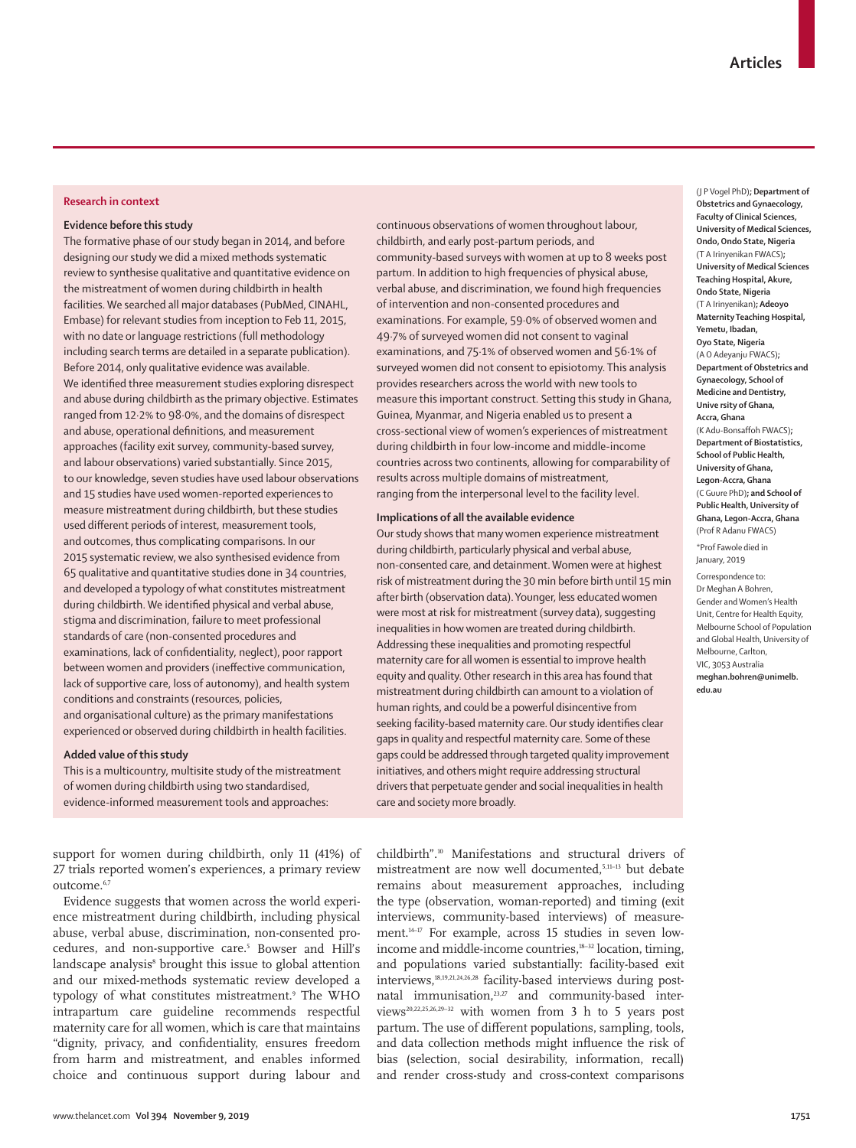## **Research in context**

## **Evidence before this study**

The formative phase of our study began in 2014, and before designing our study we did a mixed methods systematic review to synthesise qualitative and quantitative evidence on the mistreatment of women during childbirth in health facilities. We searched all major databases (PubMed, CINAHL, Embase) for relevant studies from inception to Feb 11, 2015, with no date or language restrictions (full methodology including search terms are detailed in a separate publication). Before 2014, only qualitative evidence was available. We identified three measurement studies exploring disrespect and abuse during childbirth as the primary objective. Estimates ranged from 12·2% to 98·0%, and the domains of disrespect and abuse, operational definitions, and measurement approaches (facility exit survey, community-based survey, and labour observations) varied substantially. Since 2015, to our knowledge, seven studies have used labour observations and 15 studies have used women-reported experiences to measure mistreatment during childbirth, but these studies used different periods of interest, measurement tools, and outcomes, thus complicating comparisons. In our 2015 systematic review, we also synthesised evidence from 65 qualitative and quantitative studies done in 34 countries, and developed a typology of what constitutes mistreatment during childbirth. We identified physical and verbal abuse, stigma and discrimination, failure to meet professional standards of care (non-consented procedures and examinations, lack of confidentiality, neglect), poor rapport between women and providers (ineffective communication, lack of supportive care, loss of autonomy), and health system conditions and constraints (resources, policies, and organisational culture) as the primary manifestations experienced or observed during childbirth in health facilities.

#### **Added value of this study**

This is a multicountry, multisite study of the mistreatment of women during childbirth using two standardised, evidence-informed measurement tools and approaches:

support for women during childbirth, only 11 (41%) of 27 trials reported women's experiences, a primary review outcome.<sup>6,7</sup>

Evidence suggests that women across the world experience mistreatment during childbirth, including physical abuse, verbal abuse, discrimination, non-consented procedures, and non-supportive care.<sup>5</sup> Bowser and Hill's landscape analysis<sup>8</sup> brought this issue to global attention and our mixed-methods systematic review developed a typology of what constitutes mistreatment.9 The WHO intrapartum care guideline recommends respectful maternity care for all women, which is care that maintains "dignity, privacy, and confidentiality, ensures freedom from harm and mistreatment, and enables informed choice and continuous support during labour and

continuous observations of women throughout labour, childbirth, and early post-partum periods, and community-based surveys with women at up to 8 weeks post partum. In addition to high frequencies of physical abuse, verbal abuse, and discrimination, we found high frequencies of intervention and non-consented procedures and examinations. For example, 59·0% of observed women and 49·7% of surveyed women did not consent to vaginal examinations, and 75·1% of observed women and 56·1% of surveyed women did not consent to episiotomy. This analysis provides researchers across the world with new tools to measure this important construct. Setting this study in Ghana, Guinea, Myanmar, and Nigeria enabled us to present a cross-sectional view of women's experiences of mistreatment during childbirth in four low-income and middle-income countries across two continents, allowing for comparability of results across multiple domains of mistreatment, ranging from the interpersonal level to the facility level.

#### **Implications of all the available evidence**

Our study shows that many women experience mistreatment during childbirth, particularly physical and verbal abuse, non-consented care, and detainment. Women were at highest risk of mistreatment during the 30 min before birth until 15 min after birth (observation data). Younger, less educated women were most at risk for mistreatment (survey data), suggesting inequalities in how women are treated during childbirth. Addressing these inequalities and promoting respectful maternity care for all women is essential to improve health equity and quality. Other research in this area has found that mistreatment during childbirth can amount to a violation of human rights, and could be a powerful disincentive from seeking facility-based maternity care. Our study identifies clear gaps in quality and respectful maternity care. Some of these gaps could be addressed through targeted quality improvement initiatives, and others might require addressing structural drivers that perpetuate gender and social inequalities in health care and society more broadly.

childbirth".10 Manifestations and structural drivers of mistreatment are now well documented,5,11–13 but debate remains about measurement approaches, including the type (observation, woman-reported) and timing (exit interviews, community-based interviews) of measurement.14–17 For example, across 15 studies in seven lowincome and middle-income countries,<sup>18-32</sup> location, timing, and populations varied substantially: facility-based exit interviews,18,19,21,24,26,28 facility-based interviews during postnatal immunisation, $23,27$  and community-based interviews<sup>20,22,25,26,29-32</sup> with women from 3 h to 5 years post partum. The use of different populations, sampling, tools, and data collection methods might influence the risk of bias (selection, social desirability, information, recall) and render cross-study and cross-context comparisons

(J P Vogel PhD)**; Department of Obstetrics and Gynaecology, Faculty of Clinical Sciences, University of Medical Sciences, Ondo, Ondo State, Nigeria**  (T A Irinyenikan FWACS)**; University of Medical Sciences Teaching Hospital, Akure, Ondo State, Nigeria** (T A Irinyenikan)**; Adeoyo Maternity Teaching Hospital, Yemetu, Ibadan, Oyo State, Nigeria** (A O Adeyanju FWACS)**; Department of Obstetrics and Gynaecology, School of Medicine and Dentistry, Unive rsity of Ghana, Accra, Ghana**  (K Adu-Bonsaffoh FWACS)**; Department of Biostatistics, School of Public Health, University of Ghana, Legon-Accra, Ghana**  (C Guure PhD)**; and School of Public Health, University of Ghana, Legon-Accra, Ghana**  (Prof R Adanu FWACS) \*Prof Fawole died in January, 2019

Correspondence to: Dr Meghan A Bohren, Gender and Women's Health Unit, Centre for Health Equity, Melbourne School of Population and Global Health, University of Melbourne, Carlton, VIC, 3053 Australia **meghan.bohren@unimelb. edu.au**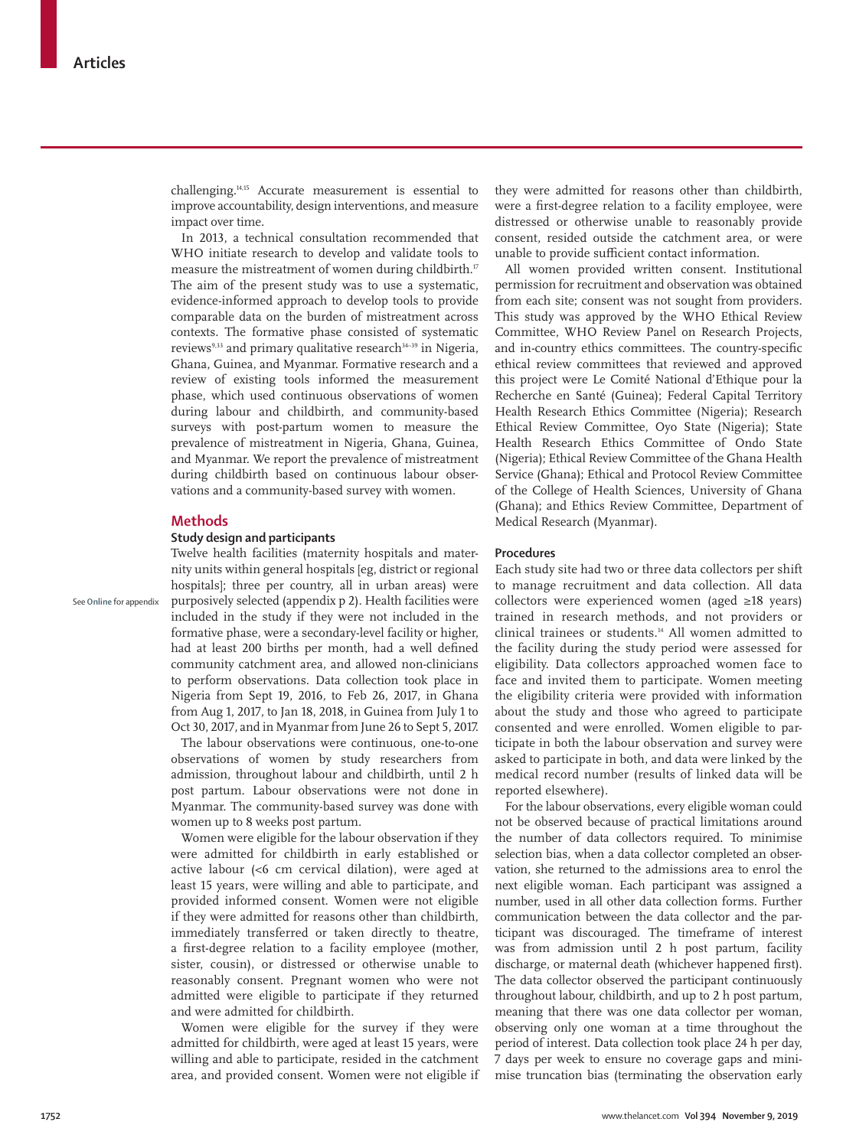challenging.14,15 Accurate measurement is essential to improve accountability, design interventions, and measure impact over time.

In 2013, a technical consultation recommended that WHO initiate research to develop and validate tools to measure the mistreatment of women during childbirth.<sup>17</sup> The aim of the present study was to use a systematic, evidence-informed approach to develop tools to provide comparable data on the burden of mistreatment across contexts. The formative phase consisted of systematic reviews $9,33$  and primary qualitative research $34-39$  in Nigeria, Ghana, Guinea, and Myanmar. Formative research and a review of existing tools informed the measurement phase, which used continuous observations of women during labour and childbirth, and community-based surveys with post-partum women to measure the prevalence of mistreatment in Nigeria, Ghana, Guinea, and Myanmar. We report the prevalence of mistreatment during childbirth based on continuous labour observations and a community-based survey with women.

# **Methods**

See **Online** for appendix

# **Study design and participants**

Twelve health facilities (maternity hospitals and maternity units within general hospitals [eg, district or regional hospitals]; three per country, all in urban areas) were purposively selected (appendix p 2). Health facilities were included in the study if they were not included in the formative phase, were a secondary-level facility or higher, had at least 200 births per month, had a well defined community catchment area, and allowed non-clinicians to perform observations. Data collection took place in Nigeria from Sept 19, 2016, to Feb 26, 2017, in Ghana from Aug 1, 2017, to Jan 18, 2018, in Guinea from July 1 to Oct 30, 2017, and in Myanmar from June 26 to Sept 5, 2017.

The labour observations were continuous, one-to-one observations of women by study researchers from admission, throughout labour and childbirth, until 2 h post partum. Labour observations were not done in Myanmar. The community-based survey was done with women up to 8 weeks post partum.

Women were eligible for the labour observation if they were admitted for childbirth in early established or active labour (<6 cm cervical dilation), were aged at least 15 years, were willing and able to participate, and provided informed consent. Women were not eligible if they were admitted for reasons other than childbirth, immediately transferred or taken directly to theatre, a first-degree relation to a facility employee (mother, sister, cousin), or distressed or otherwise unable to reasonably consent. Pregnant women who were not admitted were eligible to participate if they returned and were admitted for childbirth.

Women were eligible for the survey if they were admitted for childbirth, were aged at least 15 years, were willing and able to participate, resided in the catchment area, and provided consent. Women were not eligible if they were admitted for reasons other than childbirth, were a first-degree relation to a facility employee, were distressed or otherwise unable to reasonably provide consent, resided outside the catchment area, or were unable to provide sufficient contact information.

All women provided written consent. Institutional permission for recruitment and observation was obtained from each site; consent was not sought from providers. This study was approved by the WHO Ethical Review Committee, WHO Review Panel on Research Projects, and in-country ethics committees. The country-specific ethical review committees that reviewed and approved this project were Le Comité National d'Ethique pour la Recherche en Santé (Guinea); Federal Capital Territory Health Research Ethics Committee (Nigeria); Research Ethical Review Committee, Oyo State (Nigeria); State Health Research Ethics Committee of Ondo State (Nigeria); Ethical Review Committee of the Ghana Health Service (Ghana); Ethical and Protocol Review Committee of the College of Health Sciences, University of Ghana (Ghana); and Ethics Review Committee, Department of Medical Research (Myanmar).

## **Procedures**

Each study site had two or three data collectors per shift to manage recruitment and data collection. All data collectors were experienced women (aged ≥18 years) trained in research methods, and not providers or clinical trainees or students.14 All women admitted to the facility during the study period were assessed for eligibility. Data collectors approached women face to face and invited them to participate. Women meeting the eligibility criteria were provided with information about the study and those who agreed to participate consented and were enrolled. Women eligible to participate in both the labour observation and survey were asked to participate in both, and data were linked by the medical record number (results of linked data will be reported elsewhere).

For the labour observations, every eligible woman could not be observed because of practical limitations around the number of data collectors required. To minimise selection bias, when a data collector completed an observation, she returned to the admissions area to enrol the next eligible woman. Each participant was assigned a number, used in all other data collection forms. Further communication between the data collector and the participant was discouraged. The timeframe of interest was from admission until 2 h post partum, facility discharge, or maternal death (whichever happened first). The data collector observed the participant continuously throughout labour, childbirth, and up to 2 h post partum, meaning that there was one data collector per woman, observing only one woman at a time throughout the period of interest. Data collection took place 24 h per day, 7 days per week to ensure no coverage gaps and minimise truncation bias (terminating the observation early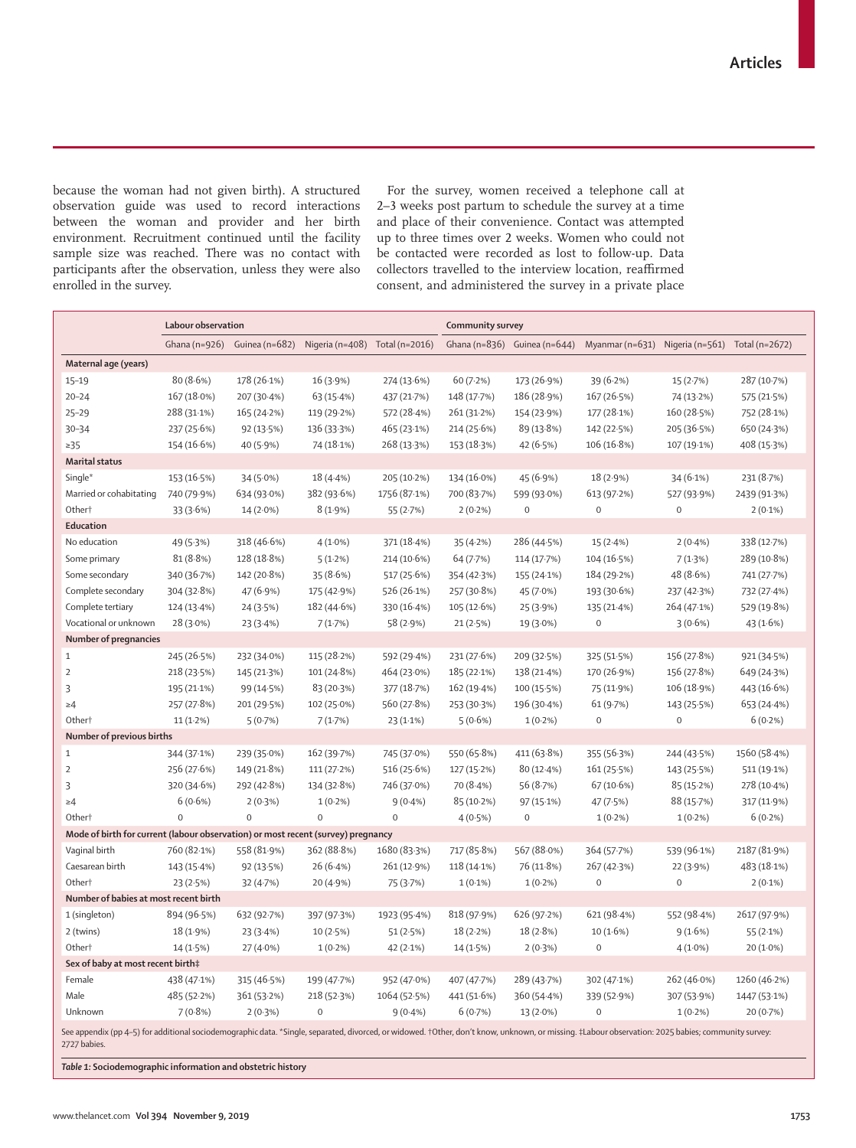because the woman had not given birth). A structured observation guide was used to record interactions between the woman and provider and her birth environment. Recruitment continued until the facility sample size was reached. There was no contact with participants after the observation, unless they were also enrolled in the survey.

For the survey, women received a telephone call at 2–3 weeks post partum to schedule the survey at a time and place of their convenience. Contact was attempted up to three times over 2 weeks. Women who could not be contacted were recorded as lost to follow-up. Data collectors travelled to the interview location, reaffirmed consent, and administered the survey in a private place

| Ghana (n=926) Guinea (n=682)<br>Nigeria (n=408) Total (n=2016)<br>Ghana (n=836) Guinea (n=644)<br>Myanmar (n=631) Nigeria (n=561) Total (n=2672)<br>Maternal age (years)<br>80(8.6%)<br>178 (26.1%)<br>16 (3.9%)<br>274 (13.6%)<br>60 (7.2%)<br>$39(6.2\%)$<br>$15 - 19$<br>173 (26.9%)<br>15(2.7%)<br>287 (10.7%)<br>$20 - 24$<br>167 (18.0%)<br>207 (30.4%)<br>63 (15.4%)<br>437 (21.7%)<br>148 (17.7%)<br>186 (28.9%)<br>167 (26.5%)<br>74 (13.2%)<br>575 (21.5%)<br>$25 - 29$<br>288 (31.1%)<br>165 (24.2%)<br>119 (29.2%)<br>572 (28.4%)<br>261 (31.2%)<br>154 (23.9%)<br>177 (28.1%)<br>160 (28.5%)<br>752 (28.1%)<br>$30 - 34$<br>237 (25.6%)<br>92 (13.5%)<br>136 (33.3%)<br>465 (23.1%)<br>214 (25.6%)<br>89 (13.8%)<br>142 (22.5%)<br>205 (36.5%)<br>650 (24.3%)<br>$\geq$ 35<br>154 (16.6%)<br>40 (5.9%)<br>74 (18.1%)<br>268 (13.3%)<br>153 (18.3%)<br>42(6.5%)<br>106 (16.8%)<br>107 (19.1%)<br>408 (15.3%)<br><b>Marital status</b><br>Single*<br>153 (16.5%)<br>$34(5.0\%)$<br>18(4.4%<br>205 (10.2%)<br>134 (16.0%)<br>45(6.9%)<br>18(2.9%)<br>$34(6.1\%)$<br>231 (8.7%)<br>Married or cohabitating<br>740 (79.9%)<br>634 (93.0%)<br>382 (93.6%)<br>1756 (87.1%)<br>700 (83.7%)<br>2439 (91.3%)<br>599 (93.0%)<br>613 (97.2%)<br>527 (93.9%)<br>Other <sup>+</sup><br>$8(1.9\%)$<br>$\mathbf 0$<br>$\mathbf{0}$<br>$\mathbf 0$<br>33(3.6%)<br>$14(2.0\%)$<br>55 $(2.7%)$<br>$2(0.2\%)$<br>$2(0.1\%)$<br>Education<br>No education<br>318 (46.6%)<br>49 (5.3%)<br>$4(1.0\%)$<br>371 (18.4%)<br>35(4.2%)<br>286 (44.5%)<br>15(2.4%)<br>$2(0.4\%)$<br>338 (12.7%)<br>Some primary<br>81(8.8%)<br>128 (18.8%)<br>5(1.2%)<br>214 (10.6%)<br>64 (7.7%)<br>114 (17.7%)<br>104 (16.5%)<br>7(1.3%)<br>289 (10.8%)<br>48 (8.6%)<br>Some secondary<br>340 (36.7%)<br>142 (20.8%)<br>35 (8.6%)<br>517 (25.6%)<br>155 (24.1%)<br>184 (29.2%)<br>741 (27.7%)<br>354 (42.3%)<br>Complete secondary<br>304 (32.8%)<br>47(6.9%)<br>526 (26.1%)<br>257 (30.8%)<br>45 (7.0%)<br>193 (30.6%)<br>732 (27.4%)<br>175 (42.9%)<br>237 (42.3%)<br>Complete tertiary<br>182 (44.6%)<br>264 (47.1%)<br>529 (19.8%)<br>124 (13.4%)<br>24(3.5%)<br>330 (16.4%)<br>105(12.6%)<br>25(3.9%)<br>135 (21.4%)<br>Vocational or unknown<br>28 (3.0%)<br>$\mathbf{0}$<br>23(3.4%)<br>7(1.7%)<br>58 (2.9%)<br>21(2.5%)<br>19 (3.0%)<br>3(0.6%)<br>43(1.6%)<br>Number of pregnancies<br>$\mathbf{1}$<br>245 (26.5%)<br>232 (34.0%)<br>115 (28.2%)<br>592 (29.4%)<br>231 (27.6%)<br>209 (32.5%)<br>325 (51.5%)<br>156 (27.8%)<br>921 (34.5%)<br>$\overline{2}$<br>218 (23.5%)<br>145 (21.3%)<br>101 (24.8%)<br>464 (23.0%)<br>185(22.1%)<br>138 (21.4%)<br>170 (26.9%)<br>156 (27.8%)<br>649 (24.3%)<br>3<br>195 (21.1%)<br>99 (14.5%)<br>83 (20.3%)<br>377 (18.7%)<br>162 (19.4%)<br>100 (15.5%)<br>75 (11.9%)<br>106 (18.9%)<br>443 (16.6%)<br>257 (27.8%)<br>201 (29.5%)<br>$102(25.0\%)$<br>560 (27.8%)<br>253 (30.3%)<br>196 (30.4%)<br>61 (9.7%)<br>143 (25.5%)<br>653 (24.4%)<br>$\geq 4$<br>$\mathbf{0}$<br>$6(0.2\%)$<br>Other <sup>+</sup><br>$11(1.2\%)$<br>5(0.7%)<br>7(1.7%)<br>$23(1.1\%)$<br>5(0.6%)<br>$1(0.2\%)$<br>$\mathbf 0$<br>Number of previous births<br>$\mathbf{1}$<br>411 (63.8%)<br>1560 (58.4%)<br>344 (37.1%)<br>239 (35.0%)<br>162 (39.7%)<br>745 (37.0%)<br>550 (65.8%)<br>355 (56.3%)<br>244 (43.5%) |                | Labour observation |             |             |             | <b>Community survey</b> |           |             |             |             |  |
|---------------------------------------------------------------------------------------------------------------------------------------------------------------------------------------------------------------------------------------------------------------------------------------------------------------------------------------------------------------------------------------------------------------------------------------------------------------------------------------------------------------------------------------------------------------------------------------------------------------------------------------------------------------------------------------------------------------------------------------------------------------------------------------------------------------------------------------------------------------------------------------------------------------------------------------------------------------------------------------------------------------------------------------------------------------------------------------------------------------------------------------------------------------------------------------------------------------------------------------------------------------------------------------------------------------------------------------------------------------------------------------------------------------------------------------------------------------------------------------------------------------------------------------------------------------------------------------------------------------------------------------------------------------------------------------------------------------------------------------------------------------------------------------------------------------------------------------------------------------------------------------------------------------------------------------------------------------------------------------------------------------------------------------------------------------------------------------------------------------------------------------------------------------------------------------------------------------------------------------------------------------------------------------------------------------------------------------------------------------------------------------------------------------------------------------------------------------------------------------------------------------------------------------------------------------------------------------------------------------------------------------------------------------------------------------------------------------------------------------------------------------------------------------------------------------------------------------------------------------------------------------------------------------------------------------------------------------------------------------------------------------------------------------------------------------------------------------------------------------------------------------------------------------------------------------------------------------------------------------------------------------------------------------------------------------|----------------|--------------------|-------------|-------------|-------------|-------------------------|-----------|-------------|-------------|-------------|--|
|                                                                                                                                                                                                                                                                                                                                                                                                                                                                                                                                                                                                                                                                                                                                                                                                                                                                                                                                                                                                                                                                                                                                                                                                                                                                                                                                                                                                                                                                                                                                                                                                                                                                                                                                                                                                                                                                                                                                                                                                                                                                                                                                                                                                                                                                                                                                                                                                                                                                                                                                                                                                                                                                                                                                                                                                                                                                                                                                                                                                                                                                                                                                                                                                                                                                                                               |                |                    |             |             |             |                         |           |             |             |             |  |
|                                                                                                                                                                                                                                                                                                                                                                                                                                                                                                                                                                                                                                                                                                                                                                                                                                                                                                                                                                                                                                                                                                                                                                                                                                                                                                                                                                                                                                                                                                                                                                                                                                                                                                                                                                                                                                                                                                                                                                                                                                                                                                                                                                                                                                                                                                                                                                                                                                                                                                                                                                                                                                                                                                                                                                                                                                                                                                                                                                                                                                                                                                                                                                                                                                                                                                               |                |                    |             |             |             |                         |           |             |             |             |  |
|                                                                                                                                                                                                                                                                                                                                                                                                                                                                                                                                                                                                                                                                                                                                                                                                                                                                                                                                                                                                                                                                                                                                                                                                                                                                                                                                                                                                                                                                                                                                                                                                                                                                                                                                                                                                                                                                                                                                                                                                                                                                                                                                                                                                                                                                                                                                                                                                                                                                                                                                                                                                                                                                                                                                                                                                                                                                                                                                                                                                                                                                                                                                                                                                                                                                                                               |                |                    |             |             |             |                         |           |             |             |             |  |
|                                                                                                                                                                                                                                                                                                                                                                                                                                                                                                                                                                                                                                                                                                                                                                                                                                                                                                                                                                                                                                                                                                                                                                                                                                                                                                                                                                                                                                                                                                                                                                                                                                                                                                                                                                                                                                                                                                                                                                                                                                                                                                                                                                                                                                                                                                                                                                                                                                                                                                                                                                                                                                                                                                                                                                                                                                                                                                                                                                                                                                                                                                                                                                                                                                                                                                               |                |                    |             |             |             |                         |           |             |             |             |  |
|                                                                                                                                                                                                                                                                                                                                                                                                                                                                                                                                                                                                                                                                                                                                                                                                                                                                                                                                                                                                                                                                                                                                                                                                                                                                                                                                                                                                                                                                                                                                                                                                                                                                                                                                                                                                                                                                                                                                                                                                                                                                                                                                                                                                                                                                                                                                                                                                                                                                                                                                                                                                                                                                                                                                                                                                                                                                                                                                                                                                                                                                                                                                                                                                                                                                                                               |                |                    |             |             |             |                         |           |             |             |             |  |
|                                                                                                                                                                                                                                                                                                                                                                                                                                                                                                                                                                                                                                                                                                                                                                                                                                                                                                                                                                                                                                                                                                                                                                                                                                                                                                                                                                                                                                                                                                                                                                                                                                                                                                                                                                                                                                                                                                                                                                                                                                                                                                                                                                                                                                                                                                                                                                                                                                                                                                                                                                                                                                                                                                                                                                                                                                                                                                                                                                                                                                                                                                                                                                                                                                                                                                               |                |                    |             |             |             |                         |           |             |             |             |  |
|                                                                                                                                                                                                                                                                                                                                                                                                                                                                                                                                                                                                                                                                                                                                                                                                                                                                                                                                                                                                                                                                                                                                                                                                                                                                                                                                                                                                                                                                                                                                                                                                                                                                                                                                                                                                                                                                                                                                                                                                                                                                                                                                                                                                                                                                                                                                                                                                                                                                                                                                                                                                                                                                                                                                                                                                                                                                                                                                                                                                                                                                                                                                                                                                                                                                                                               |                |                    |             |             |             |                         |           |             |             |             |  |
|                                                                                                                                                                                                                                                                                                                                                                                                                                                                                                                                                                                                                                                                                                                                                                                                                                                                                                                                                                                                                                                                                                                                                                                                                                                                                                                                                                                                                                                                                                                                                                                                                                                                                                                                                                                                                                                                                                                                                                                                                                                                                                                                                                                                                                                                                                                                                                                                                                                                                                                                                                                                                                                                                                                                                                                                                                                                                                                                                                                                                                                                                                                                                                                                                                                                                                               |                |                    |             |             |             |                         |           |             |             |             |  |
|                                                                                                                                                                                                                                                                                                                                                                                                                                                                                                                                                                                                                                                                                                                                                                                                                                                                                                                                                                                                                                                                                                                                                                                                                                                                                                                                                                                                                                                                                                                                                                                                                                                                                                                                                                                                                                                                                                                                                                                                                                                                                                                                                                                                                                                                                                                                                                                                                                                                                                                                                                                                                                                                                                                                                                                                                                                                                                                                                                                                                                                                                                                                                                                                                                                                                                               |                |                    |             |             |             |                         |           |             |             |             |  |
|                                                                                                                                                                                                                                                                                                                                                                                                                                                                                                                                                                                                                                                                                                                                                                                                                                                                                                                                                                                                                                                                                                                                                                                                                                                                                                                                                                                                                                                                                                                                                                                                                                                                                                                                                                                                                                                                                                                                                                                                                                                                                                                                                                                                                                                                                                                                                                                                                                                                                                                                                                                                                                                                                                                                                                                                                                                                                                                                                                                                                                                                                                                                                                                                                                                                                                               |                |                    |             |             |             |                         |           |             |             |             |  |
|                                                                                                                                                                                                                                                                                                                                                                                                                                                                                                                                                                                                                                                                                                                                                                                                                                                                                                                                                                                                                                                                                                                                                                                                                                                                                                                                                                                                                                                                                                                                                                                                                                                                                                                                                                                                                                                                                                                                                                                                                                                                                                                                                                                                                                                                                                                                                                                                                                                                                                                                                                                                                                                                                                                                                                                                                                                                                                                                                                                                                                                                                                                                                                                                                                                                                                               |                |                    |             |             |             |                         |           |             |             |             |  |
|                                                                                                                                                                                                                                                                                                                                                                                                                                                                                                                                                                                                                                                                                                                                                                                                                                                                                                                                                                                                                                                                                                                                                                                                                                                                                                                                                                                                                                                                                                                                                                                                                                                                                                                                                                                                                                                                                                                                                                                                                                                                                                                                                                                                                                                                                                                                                                                                                                                                                                                                                                                                                                                                                                                                                                                                                                                                                                                                                                                                                                                                                                                                                                                                                                                                                                               |                |                    |             |             |             |                         |           |             |             |             |  |
|                                                                                                                                                                                                                                                                                                                                                                                                                                                                                                                                                                                                                                                                                                                                                                                                                                                                                                                                                                                                                                                                                                                                                                                                                                                                                                                                                                                                                                                                                                                                                                                                                                                                                                                                                                                                                                                                                                                                                                                                                                                                                                                                                                                                                                                                                                                                                                                                                                                                                                                                                                                                                                                                                                                                                                                                                                                                                                                                                                                                                                                                                                                                                                                                                                                                                                               |                |                    |             |             |             |                         |           |             |             |             |  |
|                                                                                                                                                                                                                                                                                                                                                                                                                                                                                                                                                                                                                                                                                                                                                                                                                                                                                                                                                                                                                                                                                                                                                                                                                                                                                                                                                                                                                                                                                                                                                                                                                                                                                                                                                                                                                                                                                                                                                                                                                                                                                                                                                                                                                                                                                                                                                                                                                                                                                                                                                                                                                                                                                                                                                                                                                                                                                                                                                                                                                                                                                                                                                                                                                                                                                                               |                |                    |             |             |             |                         |           |             |             |             |  |
|                                                                                                                                                                                                                                                                                                                                                                                                                                                                                                                                                                                                                                                                                                                                                                                                                                                                                                                                                                                                                                                                                                                                                                                                                                                                                                                                                                                                                                                                                                                                                                                                                                                                                                                                                                                                                                                                                                                                                                                                                                                                                                                                                                                                                                                                                                                                                                                                                                                                                                                                                                                                                                                                                                                                                                                                                                                                                                                                                                                                                                                                                                                                                                                                                                                                                                               |                |                    |             |             |             |                         |           |             |             |             |  |
|                                                                                                                                                                                                                                                                                                                                                                                                                                                                                                                                                                                                                                                                                                                                                                                                                                                                                                                                                                                                                                                                                                                                                                                                                                                                                                                                                                                                                                                                                                                                                                                                                                                                                                                                                                                                                                                                                                                                                                                                                                                                                                                                                                                                                                                                                                                                                                                                                                                                                                                                                                                                                                                                                                                                                                                                                                                                                                                                                                                                                                                                                                                                                                                                                                                                                                               |                |                    |             |             |             |                         |           |             |             |             |  |
|                                                                                                                                                                                                                                                                                                                                                                                                                                                                                                                                                                                                                                                                                                                                                                                                                                                                                                                                                                                                                                                                                                                                                                                                                                                                                                                                                                                                                                                                                                                                                                                                                                                                                                                                                                                                                                                                                                                                                                                                                                                                                                                                                                                                                                                                                                                                                                                                                                                                                                                                                                                                                                                                                                                                                                                                                                                                                                                                                                                                                                                                                                                                                                                                                                                                                                               |                |                    |             |             |             |                         |           |             |             |             |  |
|                                                                                                                                                                                                                                                                                                                                                                                                                                                                                                                                                                                                                                                                                                                                                                                                                                                                                                                                                                                                                                                                                                                                                                                                                                                                                                                                                                                                                                                                                                                                                                                                                                                                                                                                                                                                                                                                                                                                                                                                                                                                                                                                                                                                                                                                                                                                                                                                                                                                                                                                                                                                                                                                                                                                                                                                                                                                                                                                                                                                                                                                                                                                                                                                                                                                                                               |                |                    |             |             |             |                         |           |             |             |             |  |
|                                                                                                                                                                                                                                                                                                                                                                                                                                                                                                                                                                                                                                                                                                                                                                                                                                                                                                                                                                                                                                                                                                                                                                                                                                                                                                                                                                                                                                                                                                                                                                                                                                                                                                                                                                                                                                                                                                                                                                                                                                                                                                                                                                                                                                                                                                                                                                                                                                                                                                                                                                                                                                                                                                                                                                                                                                                                                                                                                                                                                                                                                                                                                                                                                                                                                                               |                |                    |             |             |             |                         |           |             |             |             |  |
|                                                                                                                                                                                                                                                                                                                                                                                                                                                                                                                                                                                                                                                                                                                                                                                                                                                                                                                                                                                                                                                                                                                                                                                                                                                                                                                                                                                                                                                                                                                                                                                                                                                                                                                                                                                                                                                                                                                                                                                                                                                                                                                                                                                                                                                                                                                                                                                                                                                                                                                                                                                                                                                                                                                                                                                                                                                                                                                                                                                                                                                                                                                                                                                                                                                                                                               |                |                    |             |             |             |                         |           |             |             |             |  |
|                                                                                                                                                                                                                                                                                                                                                                                                                                                                                                                                                                                                                                                                                                                                                                                                                                                                                                                                                                                                                                                                                                                                                                                                                                                                                                                                                                                                                                                                                                                                                                                                                                                                                                                                                                                                                                                                                                                                                                                                                                                                                                                                                                                                                                                                                                                                                                                                                                                                                                                                                                                                                                                                                                                                                                                                                                                                                                                                                                                                                                                                                                                                                                                                                                                                                                               |                |                    |             |             |             |                         |           |             |             |             |  |
|                                                                                                                                                                                                                                                                                                                                                                                                                                                                                                                                                                                                                                                                                                                                                                                                                                                                                                                                                                                                                                                                                                                                                                                                                                                                                                                                                                                                                                                                                                                                                                                                                                                                                                                                                                                                                                                                                                                                                                                                                                                                                                                                                                                                                                                                                                                                                                                                                                                                                                                                                                                                                                                                                                                                                                                                                                                                                                                                                                                                                                                                                                                                                                                                                                                                                                               |                |                    |             |             |             |                         |           |             |             |             |  |
|                                                                                                                                                                                                                                                                                                                                                                                                                                                                                                                                                                                                                                                                                                                                                                                                                                                                                                                                                                                                                                                                                                                                                                                                                                                                                                                                                                                                                                                                                                                                                                                                                                                                                                                                                                                                                                                                                                                                                                                                                                                                                                                                                                                                                                                                                                                                                                                                                                                                                                                                                                                                                                                                                                                                                                                                                                                                                                                                                                                                                                                                                                                                                                                                                                                                                                               |                |                    |             |             |             |                         |           |             |             |             |  |
|                                                                                                                                                                                                                                                                                                                                                                                                                                                                                                                                                                                                                                                                                                                                                                                                                                                                                                                                                                                                                                                                                                                                                                                                                                                                                                                                                                                                                                                                                                                                                                                                                                                                                                                                                                                                                                                                                                                                                                                                                                                                                                                                                                                                                                                                                                                                                                                                                                                                                                                                                                                                                                                                                                                                                                                                                                                                                                                                                                                                                                                                                                                                                                                                                                                                                                               |                |                    |             |             |             |                         |           |             |             |             |  |
|                                                                                                                                                                                                                                                                                                                                                                                                                                                                                                                                                                                                                                                                                                                                                                                                                                                                                                                                                                                                                                                                                                                                                                                                                                                                                                                                                                                                                                                                                                                                                                                                                                                                                                                                                                                                                                                                                                                                                                                                                                                                                                                                                                                                                                                                                                                                                                                                                                                                                                                                                                                                                                                                                                                                                                                                                                                                                                                                                                                                                                                                                                                                                                                                                                                                                                               |                |                    |             |             |             |                         |           |             |             |             |  |
|                                                                                                                                                                                                                                                                                                                                                                                                                                                                                                                                                                                                                                                                                                                                                                                                                                                                                                                                                                                                                                                                                                                                                                                                                                                                                                                                                                                                                                                                                                                                                                                                                                                                                                                                                                                                                                                                                                                                                                                                                                                                                                                                                                                                                                                                                                                                                                                                                                                                                                                                                                                                                                                                                                                                                                                                                                                                                                                                                                                                                                                                                                                                                                                                                                                                                                               |                |                    |             |             |             |                         |           |             |             |             |  |
|                                                                                                                                                                                                                                                                                                                                                                                                                                                                                                                                                                                                                                                                                                                                                                                                                                                                                                                                                                                                                                                                                                                                                                                                                                                                                                                                                                                                                                                                                                                                                                                                                                                                                                                                                                                                                                                                                                                                                                                                                                                                                                                                                                                                                                                                                                                                                                                                                                                                                                                                                                                                                                                                                                                                                                                                                                                                                                                                                                                                                                                                                                                                                                                                                                                                                                               | $\overline{2}$ | 256 (27.6%)        | 149 (21.8%) | 111 (27.2%) | 516 (25.6%) | 127 (15.2%)             | 80(12.4%) | 161 (25.5%) | 143 (25.5%) | 511 (19.1%) |  |
| 3<br>320 (34.6%)<br>292 (42.8%)<br>134 (32.8%)<br>746 (37.0%)<br>70 (8.4%)<br>56 (8.7%)<br>67 (10.6%)<br>85 (15.2%)<br>278 (10.4%)                                                                                                                                                                                                                                                                                                                                                                                                                                                                                                                                                                                                                                                                                                                                                                                                                                                                                                                                                                                                                                                                                                                                                                                                                                                                                                                                                                                                                                                                                                                                                                                                                                                                                                                                                                                                                                                                                                                                                                                                                                                                                                                                                                                                                                                                                                                                                                                                                                                                                                                                                                                                                                                                                                                                                                                                                                                                                                                                                                                                                                                                                                                                                                            |                |                    |             |             |             |                         |           |             |             |             |  |
| 6(0.6%)<br>$2(0.3\%)$<br>$1(0.2\%)$<br>$9(0.4\%)$<br>85 (10.2%)<br>97 (15-1%)<br>47 (7.5%)<br>88 (15.7%)<br>317 (11.9%)<br>$\geq 4$                                                                                                                                                                                                                                                                                                                                                                                                                                                                                                                                                                                                                                                                                                                                                                                                                                                                                                                                                                                                                                                                                                                                                                                                                                                                                                                                                                                                                                                                                                                                                                                                                                                                                                                                                                                                                                                                                                                                                                                                                                                                                                                                                                                                                                                                                                                                                                                                                                                                                                                                                                                                                                                                                                                                                                                                                                                                                                                                                                                                                                                                                                                                                                           |                |                    |             |             |             |                         |           |             |             |             |  |
| Other <sup>+</sup><br>$\mathbf 0$<br>$\mathbf 0$<br>$\mathbf 0$<br>$\mathbf{O}$<br>$4(0.5\%)$<br>$\bf{0}$<br>$1(0.2\%)$<br>$1(0.2\%)$<br>$6(0.2\%)$                                                                                                                                                                                                                                                                                                                                                                                                                                                                                                                                                                                                                                                                                                                                                                                                                                                                                                                                                                                                                                                                                                                                                                                                                                                                                                                                                                                                                                                                                                                                                                                                                                                                                                                                                                                                                                                                                                                                                                                                                                                                                                                                                                                                                                                                                                                                                                                                                                                                                                                                                                                                                                                                                                                                                                                                                                                                                                                                                                                                                                                                                                                                                           |                |                    |             |             |             |                         |           |             |             |             |  |
| Mode of birth for current (labour observation) or most recent (survey) pregnancy                                                                                                                                                                                                                                                                                                                                                                                                                                                                                                                                                                                                                                                                                                                                                                                                                                                                                                                                                                                                                                                                                                                                                                                                                                                                                                                                                                                                                                                                                                                                                                                                                                                                                                                                                                                                                                                                                                                                                                                                                                                                                                                                                                                                                                                                                                                                                                                                                                                                                                                                                                                                                                                                                                                                                                                                                                                                                                                                                                                                                                                                                                                                                                                                                              |                |                    |             |             |             |                         |           |             |             |             |  |
| Vaginal birth<br>760 (82.1%)<br>558 (81.9%)<br>362 (88.8%)<br>1680 (83.3%)<br>717 (85.8%)<br>567 (88.0%)<br>364 (57.7%)<br>2187 (81.9%)<br>539 (96.1%)                                                                                                                                                                                                                                                                                                                                                                                                                                                                                                                                                                                                                                                                                                                                                                                                                                                                                                                                                                                                                                                                                                                                                                                                                                                                                                                                                                                                                                                                                                                                                                                                                                                                                                                                                                                                                                                                                                                                                                                                                                                                                                                                                                                                                                                                                                                                                                                                                                                                                                                                                                                                                                                                                                                                                                                                                                                                                                                                                                                                                                                                                                                                                        |                |                    |             |             |             |                         |           |             |             |             |  |
| Caesarean birth<br>143 (15-4%)<br>92(13.5%)<br>$26(6.4\%)$<br>261 (12.9%)<br>118 (14.1%)<br>76 (11.8%)<br>267 (42.3%)<br>22 (3.9%)<br>483 (18.1%)                                                                                                                                                                                                                                                                                                                                                                                                                                                                                                                                                                                                                                                                                                                                                                                                                                                                                                                                                                                                                                                                                                                                                                                                                                                                                                                                                                                                                                                                                                                                                                                                                                                                                                                                                                                                                                                                                                                                                                                                                                                                                                                                                                                                                                                                                                                                                                                                                                                                                                                                                                                                                                                                                                                                                                                                                                                                                                                                                                                                                                                                                                                                                             |                |                    |             |             |             |                         |           |             |             |             |  |
| Other <sup>+</sup><br>$1(0.2\%)$<br>$\mathbf{0}$<br>$\mathbf 0$<br>$2(0.1\%)$<br>23(2.5%)<br>32 (4.7%)<br>20(4.9%)<br>75 (3.7%)<br>$1(0.1\%)$                                                                                                                                                                                                                                                                                                                                                                                                                                                                                                                                                                                                                                                                                                                                                                                                                                                                                                                                                                                                                                                                                                                                                                                                                                                                                                                                                                                                                                                                                                                                                                                                                                                                                                                                                                                                                                                                                                                                                                                                                                                                                                                                                                                                                                                                                                                                                                                                                                                                                                                                                                                                                                                                                                                                                                                                                                                                                                                                                                                                                                                                                                                                                                 |                |                    |             |             |             |                         |           |             |             |             |  |
| Number of babies at most recent birth                                                                                                                                                                                                                                                                                                                                                                                                                                                                                                                                                                                                                                                                                                                                                                                                                                                                                                                                                                                                                                                                                                                                                                                                                                                                                                                                                                                                                                                                                                                                                                                                                                                                                                                                                                                                                                                                                                                                                                                                                                                                                                                                                                                                                                                                                                                                                                                                                                                                                                                                                                                                                                                                                                                                                                                                                                                                                                                                                                                                                                                                                                                                                                                                                                                                         |                |                    |             |             |             |                         |           |             |             |             |  |
| 1 (singleton)<br>894 (96.5%)<br>632 (92.7%)<br>397 (97.3%)<br>1923 (95-4%)<br>818 (97.9%)<br>626 (97.2%)<br>621 (98.4%)<br>552 (98.4%)<br>2617 (97.9%)                                                                                                                                                                                                                                                                                                                                                                                                                                                                                                                                                                                                                                                                                                                                                                                                                                                                                                                                                                                                                                                                                                                                                                                                                                                                                                                                                                                                                                                                                                                                                                                                                                                                                                                                                                                                                                                                                                                                                                                                                                                                                                                                                                                                                                                                                                                                                                                                                                                                                                                                                                                                                                                                                                                                                                                                                                                                                                                                                                                                                                                                                                                                                        |                |                    |             |             |             |                         |           |             |             |             |  |
| 2 (twins)<br>18 (1.9%)<br>23 (3.4%)<br>10(2.5%)<br>51(2.5%)<br>18(2.2%)<br>18(2.8%)<br>10(1.6%)<br>9(1.6%)<br>55 (2.1%)                                                                                                                                                                                                                                                                                                                                                                                                                                                                                                                                                                                                                                                                                                                                                                                                                                                                                                                                                                                                                                                                                                                                                                                                                                                                                                                                                                                                                                                                                                                                                                                                                                                                                                                                                                                                                                                                                                                                                                                                                                                                                                                                                                                                                                                                                                                                                                                                                                                                                                                                                                                                                                                                                                                                                                                                                                                                                                                                                                                                                                                                                                                                                                                       |                |                    |             |             |             |                         |           |             |             |             |  |
| Other <sup>+</sup><br>14(1.5%)<br>27 (4.0%)<br>$1(0.2\%)$<br>42 (2.1%)<br>14 (1.5%)<br>$2(0.3\%)$<br>$\mathbf{0}$<br>$4(1.0\%)$<br>20 (1.0%)                                                                                                                                                                                                                                                                                                                                                                                                                                                                                                                                                                                                                                                                                                                                                                                                                                                                                                                                                                                                                                                                                                                                                                                                                                                                                                                                                                                                                                                                                                                                                                                                                                                                                                                                                                                                                                                                                                                                                                                                                                                                                                                                                                                                                                                                                                                                                                                                                                                                                                                                                                                                                                                                                                                                                                                                                                                                                                                                                                                                                                                                                                                                                                  |                |                    |             |             |             |                         |           |             |             |             |  |
| Sex of baby at most recent birth‡                                                                                                                                                                                                                                                                                                                                                                                                                                                                                                                                                                                                                                                                                                                                                                                                                                                                                                                                                                                                                                                                                                                                                                                                                                                                                                                                                                                                                                                                                                                                                                                                                                                                                                                                                                                                                                                                                                                                                                                                                                                                                                                                                                                                                                                                                                                                                                                                                                                                                                                                                                                                                                                                                                                                                                                                                                                                                                                                                                                                                                                                                                                                                                                                                                                                             |                |                    |             |             |             |                         |           |             |             |             |  |
| Female<br>315 (46.5%)<br>262 (46.0%)<br>1260 (46.2%)<br>438 (47.1%)<br>199 (47.7%)<br>952 (47.0%)<br>407 (47.7%)<br>289 (43.7%)<br>302 (47.1%)                                                                                                                                                                                                                                                                                                                                                                                                                                                                                                                                                                                                                                                                                                                                                                                                                                                                                                                                                                                                                                                                                                                                                                                                                                                                                                                                                                                                                                                                                                                                                                                                                                                                                                                                                                                                                                                                                                                                                                                                                                                                                                                                                                                                                                                                                                                                                                                                                                                                                                                                                                                                                                                                                                                                                                                                                                                                                                                                                                                                                                                                                                                                                                |                |                    |             |             |             |                         |           |             |             |             |  |
| Male<br>485 (52.2%)<br>361 (53.2%)<br>218 (52.3%)<br>1064 (52.5%)<br>441 (51.6%)<br>360 (54.4%)<br>339 (52.9%)<br>307 (53.9%)<br>1447 (53.1%)                                                                                                                                                                                                                                                                                                                                                                                                                                                                                                                                                                                                                                                                                                                                                                                                                                                                                                                                                                                                                                                                                                                                                                                                                                                                                                                                                                                                                                                                                                                                                                                                                                                                                                                                                                                                                                                                                                                                                                                                                                                                                                                                                                                                                                                                                                                                                                                                                                                                                                                                                                                                                                                                                                                                                                                                                                                                                                                                                                                                                                                                                                                                                                 |                |                    |             |             |             |                         |           |             |             |             |  |
| Unknown<br>$7(0.8\%)$<br>$\mathbf 0$<br>6(0.7%)<br>$\mathbf{O}$<br>20 (0.7%)<br>2(0.3%)<br>$9(0.4\%)$<br>$13(2.0\%)$<br>$1(0.2\%)$                                                                                                                                                                                                                                                                                                                                                                                                                                                                                                                                                                                                                                                                                                                                                                                                                                                                                                                                                                                                                                                                                                                                                                                                                                                                                                                                                                                                                                                                                                                                                                                                                                                                                                                                                                                                                                                                                                                                                                                                                                                                                                                                                                                                                                                                                                                                                                                                                                                                                                                                                                                                                                                                                                                                                                                                                                                                                                                                                                                                                                                                                                                                                                            |                |                    |             |             |             |                         |           |             |             |             |  |

See appendix (pp 4–5) for additional sociodemographic data. \*Single, separated, divorced, or widowed. †Other, don't know, unknown, or missing. ‡Labour observation: 2025 babies; community survey: 2727 babies.

*Table 1:* **Sociodemographic information and obstetric history**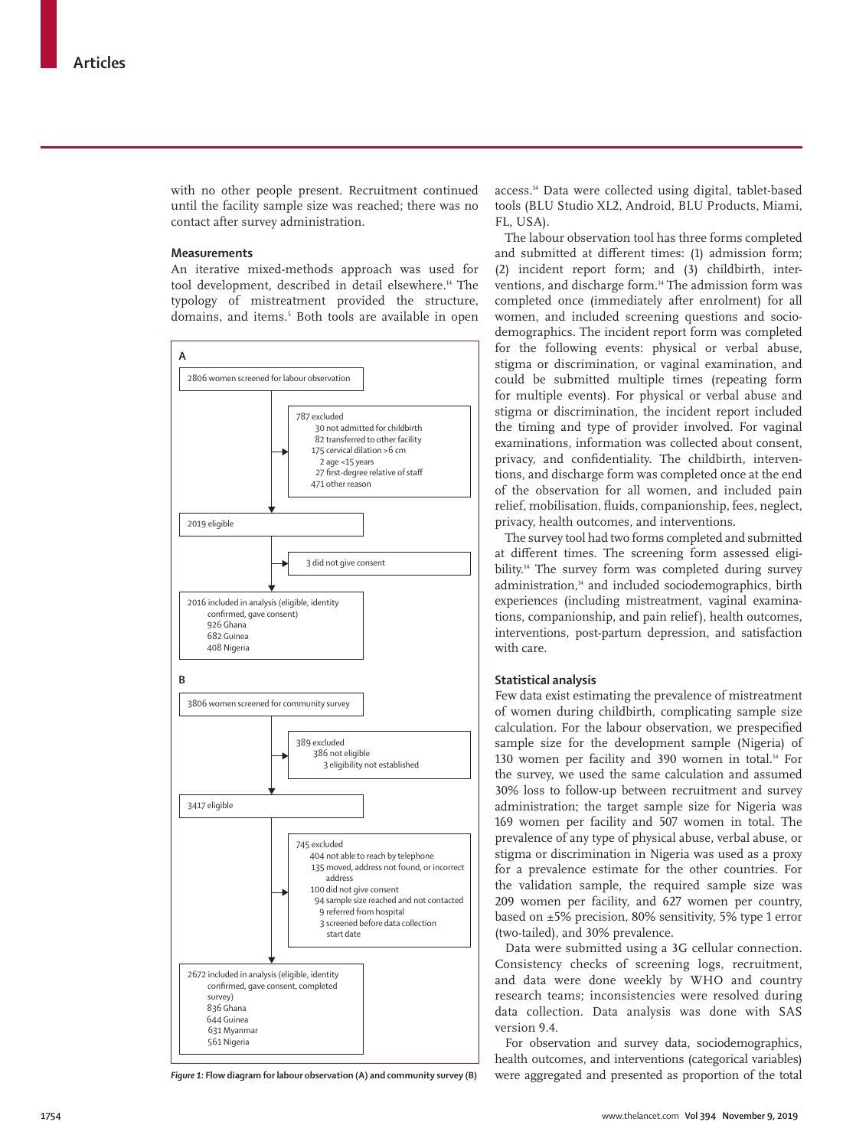with no other people present. Recruitment continued until the facility sample size was reached; there was no contact after survey administration.

# **Measurements**

An iterative mixed-methods approach was used for tool development, described in detail elsewhere.<sup>14</sup> The typology of mistreatment provided the structure, domains, and items.5 Both tools are available in open



access.14 Data were collected using digital, tablet-based tools (BLU Studio XL2, Android, BLU Products, Miami, FL, USA).

The labour observation tool has three forms completed and submitted at different times: (1) admission form; (2) incident report form; and (3) childbirth, interventions, and discharge form.<sup>14</sup> The admission form was completed once (immediately after enrolment) for all women, and included screening questions and sociodemographics. The incident report form was completed for the following events: physical or verbal abuse, stigma or discrimination, or vaginal examination, and could be submitted multiple times (repeating form for multiple events). For physical or verbal abuse and stigma or discrimination, the incident report included the timing and type of provider involved. For vaginal examinations, information was collected about consent, privacy, and confidentiality. The childbirth, interventions, and discharge form was completed once at the end of the observation for all women, and included pain relief, mobilisation, fluids, companionship, fees, neglect, privacy, health outcomes, and interventions.

The survey tool had two forms completed and submitted at different times. The screening form assessed eligibility.14 The survey form was completed during survey administration,<sup>14</sup> and included sociodemographics, birth experiences (including mistreatment, vaginal examinations, companionship, and pain relief), health outcomes, interventions, post-partum depression, and satisfaction with care.

## **Statistical analysis**

Few data exist estimating the prevalence of mistreatment of women during childbirth, complicating sample size calculation. For the labour observation, we prespecified sample size for the development sample (Nigeria) of 130 women per facility and 390 women in total.14 For the survey, we used the same calculation and assumed 30% loss to follow-up between recruitment and survey administration; the target sample size for Nigeria was 169 women per facility and 507 women in total. The prevalence of any type of physical abuse, verbal abuse, or stigma or discrimination in Nigeria was used as a proxy for a prevalence estimate for the other countries. For the validation sample, the required sample size was 209 women per facility, and 627 women per country, based on ±5% precision, 80% sensitivity, 5% type 1 error (two-tailed), and 30% prevalence.

Data were submitted using a 3G cellular connection. Consistency checks of screening logs, recruitment, and data were done weekly by WHO and country research teams; inconsistencies were resolved during data collection. Data analysis was done with SAS version 9.4.

For observation and survey data, sociodemographics, health outcomes, and interventions (categorical variables) *Figure 1:* **Flow diagram for labour observation (A) and community survey (B)** were aggregated and presented as proportion of the total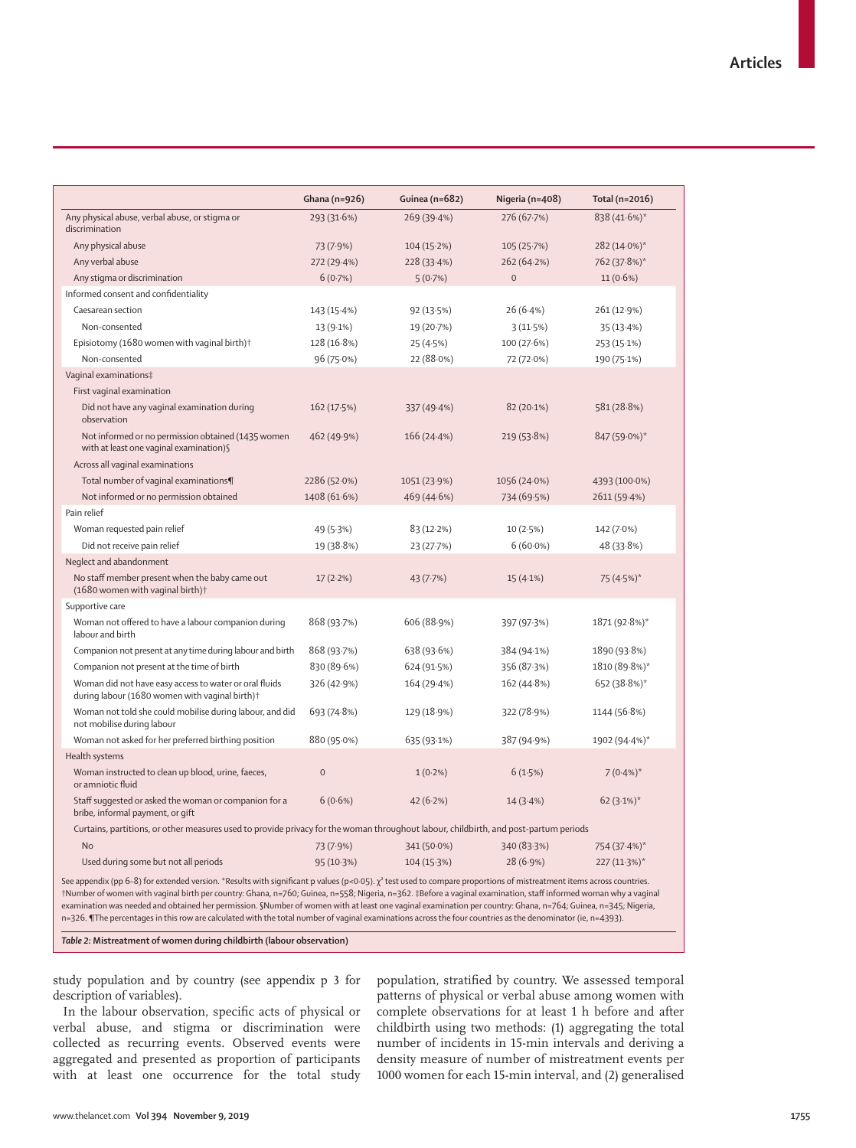|                                                                                                                                                                                                                                                                                                                                                                                                                                                                                                                                                                                                                                                                               | Ghana (n=926)  | Guinea (n=682) | Nigeria (n=408) | Total (n=2016) |
|-------------------------------------------------------------------------------------------------------------------------------------------------------------------------------------------------------------------------------------------------------------------------------------------------------------------------------------------------------------------------------------------------------------------------------------------------------------------------------------------------------------------------------------------------------------------------------------------------------------------------------------------------------------------------------|----------------|----------------|-----------------|----------------|
| Any physical abuse, verbal abuse, or stigma or<br>discrimination                                                                                                                                                                                                                                                                                                                                                                                                                                                                                                                                                                                                              | 293 (31.6%)    | 269(39.4%)     | 276 (67.7%)     | 838 (41.6%)*   |
| Any physical abuse                                                                                                                                                                                                                                                                                                                                                                                                                                                                                                                                                                                                                                                            | 73 (7.9%)      | 104 (15.2%)    | 105 (25.7%)     | 282 (14.0%)*   |
| Any verbal abuse                                                                                                                                                                                                                                                                                                                                                                                                                                                                                                                                                                                                                                                              | 272 (29.4%)    | 228(33.4%)     | 262 (64-2%)     | 762 (37.8%)*   |
| Any stigma or discrimination                                                                                                                                                                                                                                                                                                                                                                                                                                                                                                                                                                                                                                                  | 6(0.7%)        | 5(0.7%)        | $\mathbf{0}$    | 11 (0.6%)      |
| Informed consent and confidentiality                                                                                                                                                                                                                                                                                                                                                                                                                                                                                                                                                                                                                                          |                |                |                 |                |
| Caesarean section                                                                                                                                                                                                                                                                                                                                                                                                                                                                                                                                                                                                                                                             | 143 (15.4%)    | 92(13.5%)      | 26(6.4%)        | 261 (12.9%)    |
| Non-consented                                                                                                                                                                                                                                                                                                                                                                                                                                                                                                                                                                                                                                                                 | 13 (9.1%)      | 19 (20.7%)     | 3(11.5%)        | 35(13.4%)      |
| Episiotomy (1680 women with vaginal birth) <sup>+</sup>                                                                                                                                                                                                                                                                                                                                                                                                                                                                                                                                                                                                                       | 128 (16.8%)    | 25(4.5%)       | 100 (27.6%)     | 253 (15.1%)    |
| Non-consented                                                                                                                                                                                                                                                                                                                                                                                                                                                                                                                                                                                                                                                                 | 96 (75.0%)     | 22 (88.0%)     | 72 (72.0%)      | 190 (75.1%)    |
| Vaginal examinations‡                                                                                                                                                                                                                                                                                                                                                                                                                                                                                                                                                                                                                                                         |                |                |                 |                |
| First vaginal examination                                                                                                                                                                                                                                                                                                                                                                                                                                                                                                                                                                                                                                                     |                |                |                 |                |
| Did not have any vaginal examination during<br>observation                                                                                                                                                                                                                                                                                                                                                                                                                                                                                                                                                                                                                    | 162 (17.5%)    | 337 (49.4%)    | $82(20.1\%)$    | 581 (28.8%)    |
| Not informed or no permission obtained (1435 women<br>with at least one vaginal examination) §                                                                                                                                                                                                                                                                                                                                                                                                                                                                                                                                                                                | 462 (49.9%)    | 166 (24.4%)    | 219 (53.8%)     | 847 (59.0%)*   |
| Across all vaginal examinations                                                                                                                                                                                                                                                                                                                                                                                                                                                                                                                                                                                                                                               |                |                |                 |                |
| Total number of vaginal examinations¶                                                                                                                                                                                                                                                                                                                                                                                                                                                                                                                                                                                                                                         | 2286 (52.0%)   | 1051 (23.9%)   | 1056 (24.0%)    | 4393 (100.0%)  |
| Not informed or no permission obtained                                                                                                                                                                                                                                                                                                                                                                                                                                                                                                                                                                                                                                        | 1408 (61.6%)   | 469 (44.6%)    | 734 (69.5%)     | 2611 (59.4%)   |
| Pain relief                                                                                                                                                                                                                                                                                                                                                                                                                                                                                                                                                                                                                                                                   |                |                |                 |                |
| Woman requested pain relief                                                                                                                                                                                                                                                                                                                                                                                                                                                                                                                                                                                                                                                   | 49 (5.3%)      | 83 (12.2%)     | 10(2.5%)        | 142 (7.0%)     |
| Did not receive pain relief                                                                                                                                                                                                                                                                                                                                                                                                                                                                                                                                                                                                                                                   | 19 (38.8%)     | 23 (27.7%)     | $6(60.0\%)$     | 48 (33.8%)     |
| Neglect and abandonment                                                                                                                                                                                                                                                                                                                                                                                                                                                                                                                                                                                                                                                       |                |                |                 |                |
| No staff member present when the baby came out<br>(1680 women with vaginal birth) <sup>+</sup>                                                                                                                                                                                                                                                                                                                                                                                                                                                                                                                                                                                | 17(2.2%)       | 43 (7.7%)      | 15(4.1%)        | 75 (4.5%)*     |
| Supportive care                                                                                                                                                                                                                                                                                                                                                                                                                                                                                                                                                                                                                                                               |                |                |                 |                |
| Woman not offered to have a labour companion during<br>labour and birth                                                                                                                                                                                                                                                                                                                                                                                                                                                                                                                                                                                                       | 868 (93.7%)    | 606 (88.9%)    | 397 (97.3%)     | 1871 (92.8%)*  |
| Companion not present at any time during labour and birth                                                                                                                                                                                                                                                                                                                                                                                                                                                                                                                                                                                                                     | 868 (93.7%)    | 638 (93.6%)    | 384 (94.1%)     | 1890 (93.8%)   |
| Companion not present at the time of birth                                                                                                                                                                                                                                                                                                                                                                                                                                                                                                                                                                                                                                    | 830 (89.6%)    | 624 (91.5%)    | 356 (87.3%)     | 1810 (89.8%)*  |
| Woman did not have easy access to water or oral fluids<br>during labour (1680 women with vaginal birth) <sup>+</sup>                                                                                                                                                                                                                                                                                                                                                                                                                                                                                                                                                          | 326 (42.9%)    | 164 (29.4%)    | 162 (44.8%)     | 652 (38.8%)*   |
| Woman not told she could mobilise during labour, and did<br>not mobilise during labour                                                                                                                                                                                                                                                                                                                                                                                                                                                                                                                                                                                        | 693 (74.8%)    | 129 (18.9%)    | 322 (78.9%)     | 1144 (56.8%)   |
| Woman not asked for her preferred birthing position                                                                                                                                                                                                                                                                                                                                                                                                                                                                                                                                                                                                                           | 880 (95.0%)    | 635 (93.1%)    | 387 (94.9%)     | 1902 (94.4%)*  |
| Health systems                                                                                                                                                                                                                                                                                                                                                                                                                                                                                                                                                                                                                                                                |                |                |                 |                |
| Woman instructed to clean up blood, urine, faeces,<br>or amniotic fluid                                                                                                                                                                                                                                                                                                                                                                                                                                                                                                                                                                                                       | $\overline{0}$ | $1(0.2\%)$     | 6(1.5%)         | $7(0.4\%)^*$   |
| Staff suggested or asked the woman or companion for a<br>bribe, informal payment, or gift                                                                                                                                                                                                                                                                                                                                                                                                                                                                                                                                                                                     | 6(0.6%)        | 42 (6.2%)      | 14(3.4%)        | $62(3.1\%)*$   |
| Curtains, partitions, or other measures used to provide privacy for the woman throughout labour, childbirth, and post-partum periods                                                                                                                                                                                                                                                                                                                                                                                                                                                                                                                                          |                |                |                 |                |
| <b>No</b>                                                                                                                                                                                                                                                                                                                                                                                                                                                                                                                                                                                                                                                                     | 73 (7.9%)      | 341 (50.0%)    | 340 (83.3%)     | 754 (37.4%)*   |
| Used during some but not all periods                                                                                                                                                                                                                                                                                                                                                                                                                                                                                                                                                                                                                                          | 95 (10.3%)     | 104 (15.3%)    | 28 (6.9%)       | 227 (11.3%)*   |
| See appendix (pp 6-8) for extended version. *Results with significant p values (p<0.05). $\chi^2$ test used to compare proportions of mistreatment items across countries.<br>†Number of women with vaginal birth per country: Ghana, n=760; Guinea, n=558; Nigeria, n=362. ‡Before a vaginal examination, staff informed woman why a vaginal<br>examination was needed and obtained her permission. SNumber of women with at least one vaginal examination per country: Ghana, n=764; Guinea, n=345; Nigeria,<br>n=326. ¶The percentages in this row are calculated with the total number of vaginal examinations across the four countries as the denominator (ie, n=4393). |                |                |                 |                |

*Table 2:* **Mistreatment of women during childbirth (labour observation)**

study population and by country (see appendix p 3 for description of variables).

In the labour observation, specific acts of physical or verbal abuse, and stigma or discrimination were collected as recurring events. Observed events were aggregated and presented as proportion of participants with at least one occurrence for the total study population, stratified by country. We assessed temporal patterns of physical or verbal abuse among women with complete observations for at least 1 h before and after childbirth using two methods: (1) aggregating the total number of incidents in 15-min intervals and deriving a density measure of number of mistreatment events per 1000 women for each 15-min interval, and (2) generalised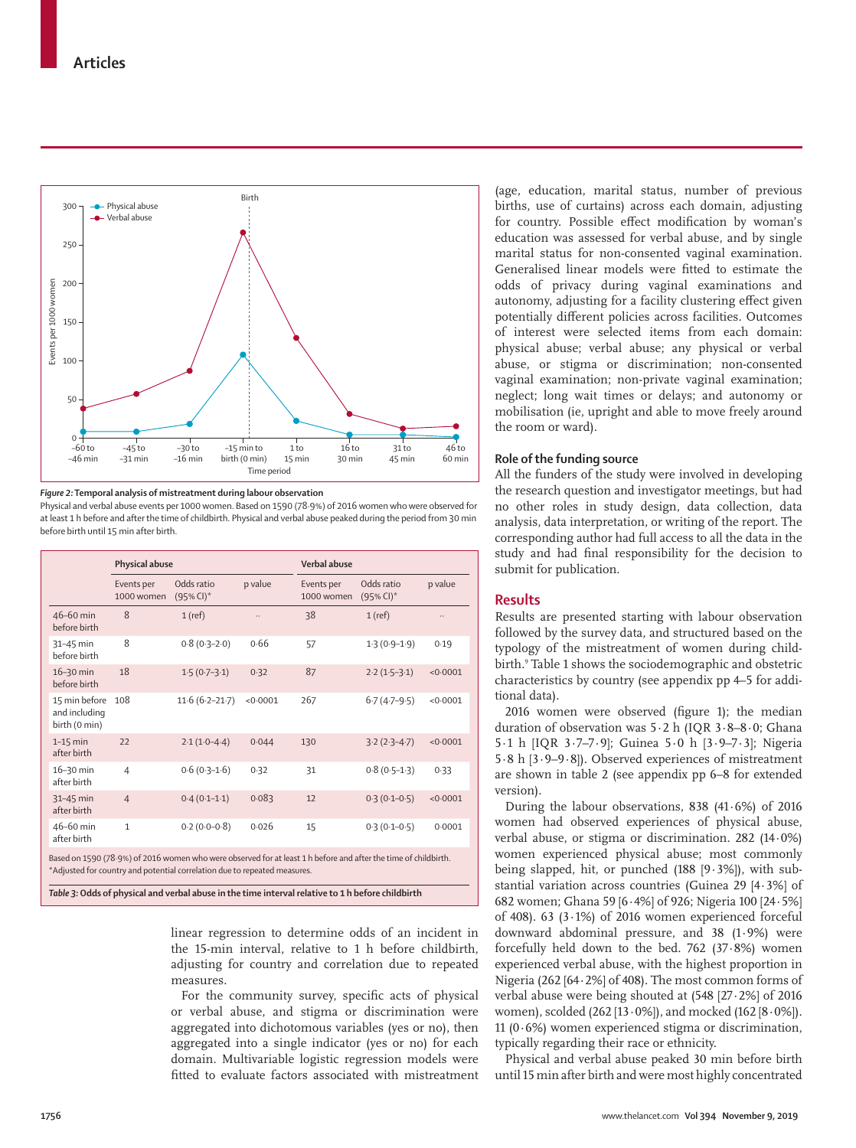

#### *Figure 2:* **Temporal analysis of mistreatment during labour observation**

Physical and verbal abuse events per 1000 women. Based on 1590 (78·9%) of 2016 women who were observed for at least 1 h before and after the time of childbirth. Physical and verbal abuse peaked during the period from 30 min before birth until 15 min after birth.

|                                                 | Physical abuse           |                                                                                                                                                                                              |          | Verbal abuse             |                                        |          |  |  |
|-------------------------------------------------|--------------------------|----------------------------------------------------------------------------------------------------------------------------------------------------------------------------------------------|----------|--------------------------|----------------------------------------|----------|--|--|
|                                                 | Events per<br>1000 women | Odds ratio<br>$(95\%$ CI) <sup>*</sup>                                                                                                                                                       | p value  | Events per<br>1000 women | Odds ratio<br>$(95\%$ CI) <sup>*</sup> | p value  |  |  |
| 46-60 min<br>before birth                       | 8                        | $1$ (ref)                                                                                                                                                                                    |          | 38                       | $1$ (ref)                              | $\ldots$ |  |  |
| 31-45 min<br>before birth                       | 8                        | $0.8(0.3-2.0)$                                                                                                                                                                               | 0.66     | 57                       | $1.3(0.9-1.9)$                         | 0.19     |  |  |
| 16-30 min<br>before birth                       | 18                       | $1.5(0.7-3.1)$                                                                                                                                                                               | 0.32     | 87                       | $2.2(1.5-3.1)$                         | < 0.0001 |  |  |
| 15 min before<br>and including<br>birth (0 min) | 108                      | $11.6(6.2 - 21.7)$                                                                                                                                                                           | < 0.0001 | 267                      | $6.7(4.7-9.5)$                         | < 0.0001 |  |  |
| $1-15$ min<br>after birth                       | 22                       | $2.1(1.0-4.4)$                                                                                                                                                                               | 0.044    | 130                      | $3.2(2.3 - 4.7)$                       | < 0.0001 |  |  |
| 16-30 min<br>after birth                        | $\overline{4}$           | $0.6(0.3-1.6)$                                                                                                                                                                               | 0.32     | 31                       | $0.8(0.5-1.3)$                         | 0.33     |  |  |
| 31-45 min<br>after birth                        | $\overline{4}$           | $0.4(0.1-1.1)$                                                                                                                                                                               | 0.083    | 12                       | $0.3(0.1 - 0.5)$                       | < 0.0001 |  |  |
| 46-60 min<br>after birth                        | $\mathbf{1}$             | $0.2(0.0-0.8)$                                                                                                                                                                               | 0.026    | 15                       | $0.3(0.1 - 0.5)$                       | 0.0001   |  |  |
|                                                 |                          | Based on 1590 (78.9%) of 2016 women who were observed for at least 1 h before and after the time of childbirth.<br>*Adiusted for country and potential correlation due to repeated measures. |          |                          |                                        |          |  |  |

*Table 3:* **Odds of physical and verbal abuse in the time interval relative to 1 h before childbirth**

linear regression to determine odds of an incident in the 15-min interval, relative to 1 h before childbirth, adjusting for country and correlation due to repeated measures.

For the community survey, specific acts of physical or verbal abuse, and stigma or discrimination were aggregated into dichotomous variables (yes or no), then aggregated into a single indicator (yes or no) for each domain. Multivariable logistic regression models were fitted to evaluate factors associated with mistreatment

(age, education, marital status, number of previous births, use of curtains) across each domain, adjusting for country. Possible effect modification by woman's education was assessed for verbal abuse, and by single marital status for non-consented vaginal examination. Generalised linear models were fitted to estimate the odds of privacy during vaginal examinations and autonomy, adjusting for a facility clustering effect given potentially different policies across facilities. Outcomes of interest were selected items from each domain: physical abuse; verbal abuse; any physical or verbal abuse, or stigma or discrimination; non-consented vaginal examination; non-private vaginal examination; neglect; long wait times or delays; and autonomy or mobilisation (ie, upright and able to move freely around the room or ward).

## **Role of the funding source**

All the funders of the study were involved in developing the research question and investigator meetings, but had no other roles in study design, data collection, data analysis, data interpretation, or writing of the report. The corresponding author had full access to all the data in the study and had final responsibility for the decision to submit for publication.

# **Results**

Results are presented starting with labour observation followed by the survey data, and structured based on the typology of the mistreatment of women during childbirth.<sup>9</sup> Table 1 shows the sociodemographic and obstetric characteristics by country (see appendix pp 4–5 for additional data).

2016 women were observed (figure 1); the median duration of observation was 5·2 h (IQR 3·8–8·0; Ghana 5·1 h [IQR 3·7–7·9]; Guinea 5·0 h [3·9–7·3]; Nigeria 5·8 h [3·9–9·8]). Observed experiences of mistreatment are shown in table 2 (see appendix pp 6–8 for extended version).

During the labour observations,  $838$  (41.6%) of 2016 women had observed experiences of physical abuse, verbal abuse, or stigma or discrimination. 282 (14·0%) women experienced physical abuse; most commonly being slapped, hit, or punched (188 [9·3%]), with substantial variation across countries (Guinea 29 [4·3%] of 682 women; Ghana 59 [6·4%] of 926; Nigeria 100 [24·5%] of 408). 63 (3 $\cdot$ 1%) of 2016 women experienced forceful downward abdominal pressure, and 38 (1·9%) were forcefully held down to the bed. 762 (37·8%) women experienced verbal abuse, with the highest proportion in Nigeria (262  $[64.2\%]$  of 408). The most common forms of verbal abuse were being shouted at (548 [27·2%] of 2016 women), scolded (262 [13·0%]), and mocked (162 [8·0%]). 11 (0 $\cdot$ 6%) women experienced stigma or discrimination, typically regarding their race or ethnicity.

Physical and verbal abuse peaked 30 min before birth until 15 min after birth and were most highly concentrated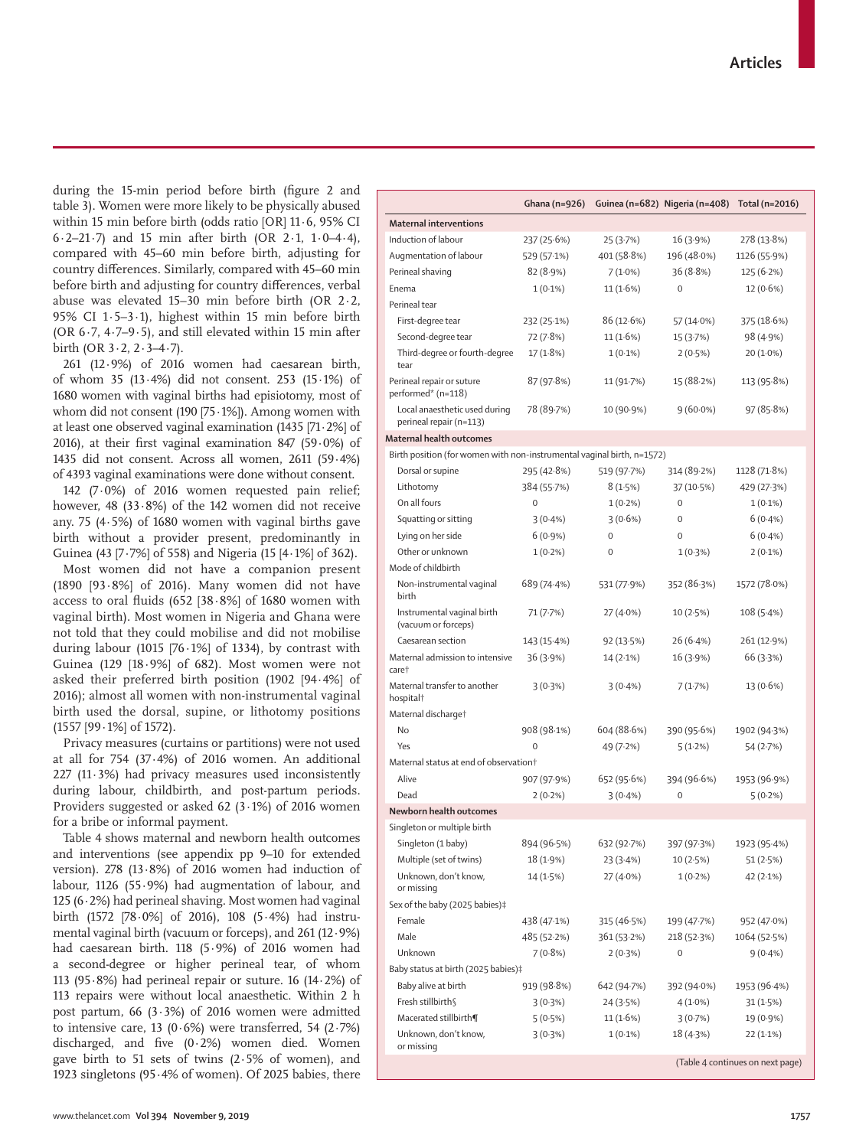during the 15-min period before birth (figure 2 and table 3). Women were more likely to be physically abused within 15 min before birth (odds ratio [OR] 11·6, 95% CI 6·2–21·7) and 15 min after birth (OR 2·1, 1·0–4·4), compared with 45–60 min before birth, adjusting for country differences. Similarly, compared with 45–60 min before birth and adjusting for country differences, verbal abuse was elevated 15–30 min before birth (OR 2·2, 95% CI 1·5–3·1), highest within 15 min before birth (OR  $6.7$ ,  $4.7-9.5$ ), and still elevated within 15 min after birth (OR  $3.2$ ,  $2.3-4.7$ ).

261 (12·9%) of 2016 women had caesarean birth, of whom 35 (13·4%) did not consent. 253 (15·1%) of 1680 women with vaginal births had episiotomy, most of whom did not consent (190 [75·1%]). Among women with at least one observed vaginal examination (1435 [71·2%] of 2016), at their first vaginal examination 847 (59·0%) of 1435 did not consent. Across all women, 2611 (59·4%) of 4393 vaginal examinations were done without consent.

142 (7·0%) of 2016 women requested pain relief; however, 48 (33·8%) of the 142 women did not receive any. 75 (4·5%) of 1680 women with vaginal births gave birth without a provider present, predominantly in Guinea (43 [7·7%] of 558) and Nigeria (15 [4·1%] of 362). Most women did not have a companion present (1890 [93·8%] of 2016). Many women did not have access to oral fluids  $(652 \; | 38.8\%]$  of 1680 women with vaginal birth). Most women in Nigeria and Ghana were not told that they could mobilise and did not mobilise during labour (1015 [76 $\cdot$ 1%] of 1334), by contrast with Guinea (129  $[18.9\%]$  of 682). Most women were not asked their preferred birth position (1902 [94·4%] of 2016); almost all women with non-instrumental vaginal birth used the dorsal, supine, or lithotomy positions

Privacy measures (curtains or partitions) were not used at all for 754 (37·4%) of 2016 women. An additional 227 (11·3%) had privacy measures used inconsistently during labour, childbirth, and post-partum periods. Providers suggested or asked 62 (3·1%) of 2016 women for a bribe or informal payment.

(1557 [99·1%] of 1572).

Table 4 shows maternal and newborn health outcomes and interventions (see appendix pp 9–10 for extended version). 278 (13·8%) of 2016 women had induction of labour, 1126 (55·9%) had augmentation of labour, and 125 (6·2%) had perineal shaving. Most women had vaginal birth (1572 [78·0%] of 2016), 108 (5·4%) had instrumental vaginal birth (vacuum or forceps), and 261 (12·9%) had caesarean birth. 118 (5·9%) of 2016 women had a second-degree or higher perineal tear, of whom 113 (95 $\cdot$ 8%) had perineal repair or suture. 16 (14 $\cdot$ 2%) of 113 repairs were without local anaesthetic. Within 2 h post partum, 66 (3·3%) of 2016 women were admitted to intensive care, 13 (0 $\cdot$  6%) were transferred, 54 (2 $\cdot$  7%) discharged, and five (0·2%) women died. Women gave birth to 51 sets of twins  $(2.5\% \text{ of women})$ , and 1923 singletons (95·4% of women). Of 2025 babies, there

|                                                                        | Ghana (n=926) |             | Guinea (n=682) Nigeria (n=408) | Total (n=2016)                   |
|------------------------------------------------------------------------|---------------|-------------|--------------------------------|----------------------------------|
| <b>Maternal interventions</b>                                          |               |             |                                |                                  |
| Induction of labour                                                    | 237 (25.6%)   | 25 (3.7%)   | 16(3.9%)                       | 278 (13.8%)                      |
| Augmentation of labour                                                 | 529 (57.1%)   | 401 (58.8%) | 196 (48.0%)                    | 1126 (55.9%)                     |
| Perineal shaving                                                       | 82 (8.9%)     | $7(1.0\%)$  | 36 (8.8%)                      | 125(6.2%)                        |
| Enema                                                                  | $1(0.1\%)$    | $11(1.6\%)$ | $\mathbf 0$                    | $12(0.6\%)$                      |
| Perineal tear                                                          |               |             |                                |                                  |
| First-degree tear                                                      | 232 (25.1%)   | 86 (12.6%)  | 57 (14.0%)                     | 375(18.6%)                       |
| Second-degree tear                                                     | 72 (7.8%)     | 11(1.6%)    | 15 (3.7%)                      | 98 (4.9%)                        |
| Third-degree or fourth-degree<br>tear                                  | 17(1.8%)      | $1(0.1\%)$  | 2(0.5%)                        | $20(1.0\%)$                      |
| Perineal repair or suture<br>performed* (n=118)                        | 87 (97.8%)    | 11 (91.7%)  | 15 (88.2%)                     | 113 (95.8%)                      |
| Local anaesthetic used during<br>perineal repair (n=113)               | 78 (89.7%)    | 10 (90.9%)  | $9(60.0\%)$                    | 97(85.8%)                        |
| Maternal health outcomes                                               |               |             |                                |                                  |
| Birth position (for women with non-instrumental vaginal birth, n=1572) |               |             |                                |                                  |
| Dorsal or supine                                                       | 295 (42.8%)   | 519 (97.7%) | 314 (89.2%)                    | 1128 (71.8%)                     |
| Lithotomy                                                              | 384 (55.7%)   | 8(1.5%)     | 37 (10.5%)                     | 429 (27.3%)                      |
| On all fours                                                           | 0             | $1(0.2\%)$  | $\mathbf 0$                    | $1(0.1\%)$                       |
| Squatting or sitting                                                   | $3(0.4\%)$    | $3(0.6\%)$  | $\mathbf 0$                    | $6(0.4\%)$                       |
| Lying on her side                                                      | $6(0.9\%)$    | $\mathbf 0$ | $\mathbf 0$                    | $6(0.4\%)$                       |
| Other or unknown                                                       | $1(0.2\%)$    | $\mathbf 0$ | $1(0.3\%)$                     | $2(0.1\%)$                       |
| Mode of childbirth                                                     |               |             |                                |                                  |
| Non-instrumental vaginal<br>birth                                      | 689 (74.4%)   | 531 (77.9%) | 352 (86.3%)                    | 1572 (78.0%)                     |
| Instrumental vaginal birth<br>(vacuum or forceps)                      | 71 (7.7%)     | 27 (4.0%)   | 10(2.5%)                       | 108(5.4%)                        |
| Caesarean section                                                      | 143 (15.4%)   | 92 (13.5%)  | 26 (6.4%)                      | 261 (12.9%)                      |
| Maternal admission to intensive<br>care†                               | 36(3.9%)      | 14 (2.1%)   | 16 (3.9%)                      | 66 (3.3%)                        |
| Maternal transfer to another<br>hospital†                              | 3(0.3%)       | $3(0.4\%)$  | 7(1.7%)                        | 13 (0.6%)                        |
| Maternal discharge†                                                    |               |             |                                |                                  |
| No                                                                     | 908 (98.1%)   | 604 (88.6%) | 390 (95.6%)                    | 1902 (94.3%)                     |
| Yes                                                                    | 0             | 49 (7.2%)   | 5(1.2%)                        | 54 (2.7%)                        |
| Maternal status at end of observation†                                 |               |             |                                |                                  |
| Alive                                                                  | 907 (97.9%)   | 652 (95.6%) | 394 (96.6%)                    | 1953 (96.9%)                     |
| Dead                                                                   | $2(0.2\%)$    | $3(0.4\%)$  | $\mathbf 0$                    | $5(0.2\%)$                       |
| Newborn health outcomes                                                |               |             |                                |                                  |
| Singleton or multiple birth                                            |               |             |                                |                                  |
| Singleton (1 baby)                                                     | 894 (96.5%)   | 632 (92.7%) | 397 (97.3%)                    | 1923 (95-4%)                     |
| Multiple (set of twins)                                                | 18 (1.9%)     | 23 (3.4%)   | 10(2.5%)                       | 51(2.5%)                         |
| Unknown, don't know,<br>or missing                                     | 14 (1.5%)     | $27(4.0\%)$ | $1(0.2\%)$                     | 42(2.1%)                         |
| Sex of the baby (2025 babies)‡                                         |               |             |                                |                                  |
| Female                                                                 | 438 (47.1%)   | 315 (46.5%) | 199 (47.7%)                    | 952 (47.0%)                      |
| Male                                                                   | 485 (52.2%)   | 361 (53.2%) | 218 (52.3%)                    | 1064 (52.5%)                     |
| Unknown                                                                | $7(0.8\%)$    | 2(0.3%)     | $\mathbf 0$                    | $9(0.4\%)$                       |
| Baby status at birth (2025 babies)‡                                    |               |             |                                |                                  |
| Baby alive at birth                                                    | 919 (98.8%)   | 642 (94.7%) | 392 (94.0%)                    | 1953 (96.4%)                     |
| Fresh stillbirth \                                                     | 3(0.3%)       | 24 (3.5%)   | $4(1.0\%)$                     | 31(1.5%)                         |
| Macerated stillbirth¶                                                  | 5(0.5%)       | $11(1.6\%)$ | 3(0.7%)                        | 19 (0.9%)                        |
| Unknown, don't know,<br>or missing                                     | 3(0.3%)       | $1(0.1\%)$  | 18(4.3%)                       | $22(1.1\%)$                      |
|                                                                        |               |             |                                | (Table 4 continues on next page) |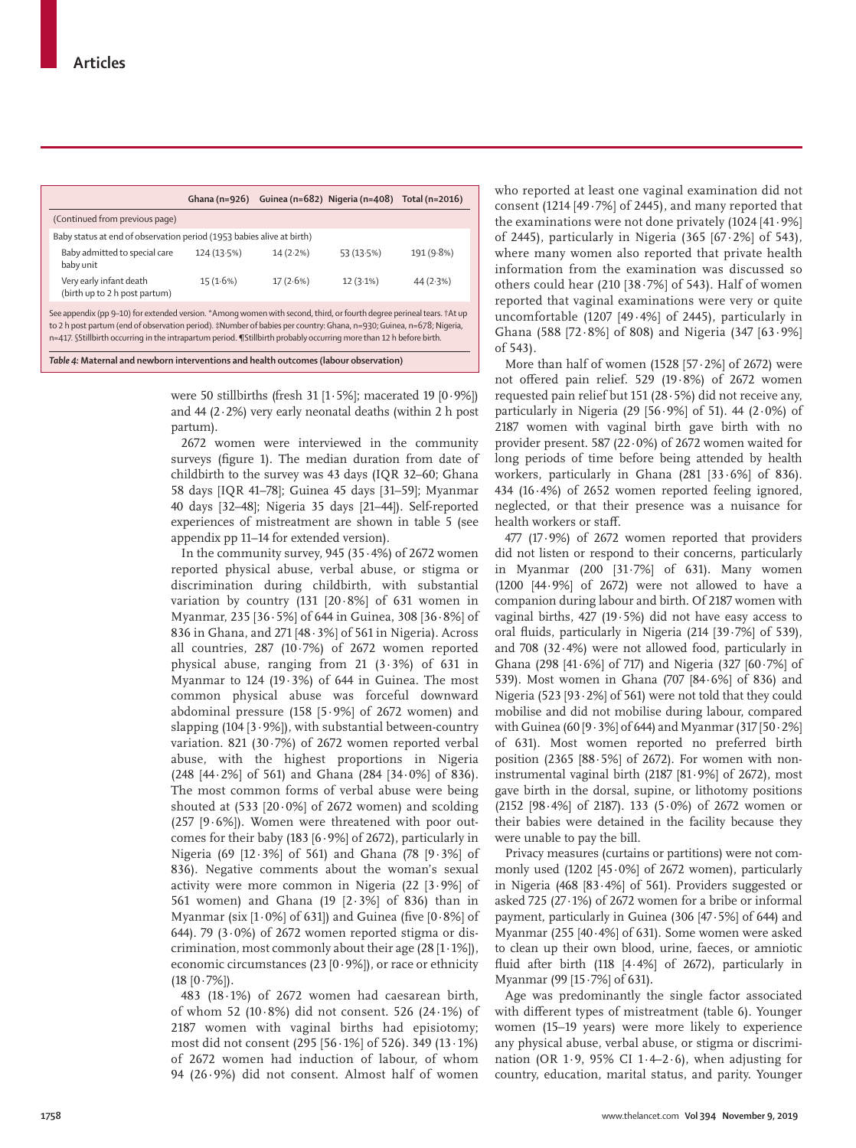|                                                                                                                                                                                                                                                                                                                                                                      |          |          | Ghana (n=926) Guinea (n=682) Nigeria (n=408) Total (n=2016) |          |  |  |  |
|----------------------------------------------------------------------------------------------------------------------------------------------------------------------------------------------------------------------------------------------------------------------------------------------------------------------------------------------------------------------|----------|----------|-------------------------------------------------------------|----------|--|--|--|
| (Continued from previous page)                                                                                                                                                                                                                                                                                                                                       |          |          |                                                             |          |  |  |  |
| Baby status at end of observation period (1953 babies alive at birth)                                                                                                                                                                                                                                                                                                |          |          |                                                             |          |  |  |  |
| Baby admitted to special care<br>191 (9.8%)<br>124(13.5%)<br>14(2.2%)<br>53 (13.5%)<br>baby unit                                                                                                                                                                                                                                                                     |          |          |                                                             |          |  |  |  |
| Very early infant death<br>(birth up to 2 h post partum)                                                                                                                                                                                                                                                                                                             | 15(1.6%) | 17(2.6%) | $12(3.1\%)$                                                 | 44(2.3%) |  |  |  |
| See appendix (pp 9-10) for extended version. *Among women with second, third, or fourth degree perineal tears. +At up<br>to 2 h post partum (end of observation period). #Number of babies per country: Ghana, n=930; Guinea, n=678; Nigeria,<br>n=417. SStillbirth occurring in the intrapartum period. ¶Stillbirth probably occurring more than 12 h before birth. |          |          |                                                             |          |  |  |  |
| Table 4: Maternal and newborn interventions and health outcomes (labour observation)                                                                                                                                                                                                                                                                                 |          |          |                                                             |          |  |  |  |

were 50 stillbirths (fresh 31 [1 $\cdot$  5%]; macerated 19 [0 $\cdot$ 9%]) and 44 (2 $\cdot$ 2%) very early neonatal deaths (within 2 h post partum).

2672 women were interviewed in the community surveys (figure 1). The median duration from date of childbirth to the survey was 43 days (IQR 32–60; Ghana 58 days [IQR 41–78]; Guinea 45 days [31–59]; Myanmar 40 days [32–48]; Nigeria 35 days [21–44]). Self-reported experiences of mistreatment are shown in table 5 (see appendix pp 11–14 for extended version).

In the community survey,  $945 (35.4%)$  of 2672 women reported physical abuse, verbal abuse, or stigma or discrimination during childbirth, with substantial variation by country (131  $[20.8\%]$  of 631 women in Myanmar, 235 [36·5%] of 644 in Guinea, 308 [36·8%] of 836 in Ghana, and 271 [48·3%] of 561 in Nigeria). Across all countries,  $287$  (10 $\cdot$ 7%) of 2672 women reported physical abuse, ranging from 21  $(3.3\%)$  of 631 in Myanmar to 124 (19·3%) of 644 in Guinea. The most common physical abuse was forceful downward abdominal pressure (158  $[5.9\%]$  of 2672 women) and slapping  $(104 [3.9\%])$ , with substantial between-country variation. 821 (30·7%) of 2672 women reported verbal abuse, with the highest proportions in Nigeria (248 [44·2%] of 561) and Ghana (284 [34·0%] of 836). The most common forms of verbal abuse were being shouted at  $(533 [20.0\%]$  of 2672 women) and scolding (257  $[9.6\%]$ ). Women were threatened with poor outcomes for their baby (183  $[6.9\%]$  of 2672), particularly in Nigeria (69 [12·3%] of 561) and Ghana (78 [9·3%] of 836). Negative comments about the woman's sexual activity were more common in Nigeria (22 [3·9%] of 561 women) and Ghana (19 [2·3%] of 836) than in Myanmar (six [1·0%] of 631]) and Guinea (five [0·8%] of 644). 79 (3 $\cdot$ 0%) of 2672 women reported stigma or discrimination, most commonly about their age (28 [1·1%]), economic circumstances (23 [0·9%]), or race or ethnicity  $(18 [0.7\%])$ .

483 (18·1%) of 2672 women had caesarean birth, of whom 52 (10·8%) did not consent. 526 (24·1%) of 2187 women with vaginal births had episiotomy; most did not consent (295 [56·1%] of 526). 349 (13·1%) of 2672 women had induction of labour, of whom 94 (26·9%) did not consent. Almost half of women who reported at least one vaginal examination did not consent (1214 [49·7%] of 2445), and many reported that the examinations were not done privately  $(1024 \, [41.9\%])$ of 2445), particularly in Nigeria  $(365 \; [67 \cdot 2\%)$  of 543), where many women also reported that private health information from the examination was discussed so others could hear  $(210 \ 38.7\%)$  of 543). Half of women reported that vaginal examinations were very or quite uncomfortable (1207 [49·4%] of 2445), particularly in Ghana (588 [72·8%] of 808) and Nigeria (347 [63·9%] of 543).

More than half of women  $(1528 \, 157 \cdot 2\%)$  of 2672) were not offered pain relief. 529 (19·8%) of 2672 women requested pain relief but 151 (28·5%) did not receive any, particularly in Nigeria (29 [56 $\cdot$ 9%] of 51). 44 (2 $\cdot$ 0%) of 2187 women with vaginal birth gave birth with no provider present. 587 (22·0%) of 2672 women waited for long periods of time before being attended by health workers, particularly in Ghana (281 [33·6%] of 836). 434 (16·4%) of 2652 women reported feeling ignored, neglected, or that their presence was a nuisance for health workers or staff.

477 (17·9%) of 2672 women reported that providers did not listen or respond to their concerns, particularly in Myanmar (200 [31·7%] of 631). Many women (1200 [44·9%] of 2672) were not allowed to have a companion during labour and birth. Of 2187 women with vaginal births, 427 (19·5%) did not have easy access to oral fluids, particularly in Nigeria (214 [39·7%] of 539), and 708 (32·4%) were not allowed food, particularly in Ghana (298 [41 $\cdot$ 6%] of 717) and Nigeria (327 [60 $\cdot$ 7%] of 539). Most women in Ghana (707 [84·6%] of 836) and Nigeria (523 [93 $\cdot$ 2%] of 561) were not told that they could mobilise and did not mobilise during labour, compared with Guinea (60 [9·3%] of 644) and Myanmar (317 [50·2%] of 631). Most women reported no preferred birth position (2365  $[88.5\%]$  of 2672). For women with noninstrumental vaginal birth  $(2187 \, [81.9\%]$  of 2672), most gave birth in the dorsal, supine, or lithotomy positions (2152 [98·4%] of 2187). 133 (5·0%) of 2672 women or their babies were detained in the facility because they were unable to pay the bill.

Privacy measures (curtains or partitions) were not commonly used (1202 [45 $\cdot$ 0%] of 2672 women), particularly in Nigeria (468 [83·4%] of 561). Providers suggested or asked 725 (27·1%) of 2672 women for a bribe or informal payment, particularly in Guinea (306 [47·5%] of 644) and Myanmar (255 [40·4%] of 631). Some women were asked to clean up their own blood, urine, faeces, or amniotic fluid after birth (118 [4·4%] of 2672), particularly in Myanmar (99 [15·7%] of 631).

Age was predominantly the single factor associated with different types of mistreatment (table 6). Younger women (15–19 years) were more likely to experience any physical abuse, verbal abuse, or stigma or discrimination (OR 1 $\cdot$  9, 95% CI 1 $\cdot$  4–2 $\cdot$ 6), when adjusting for country, education, marital status, and parity. Younger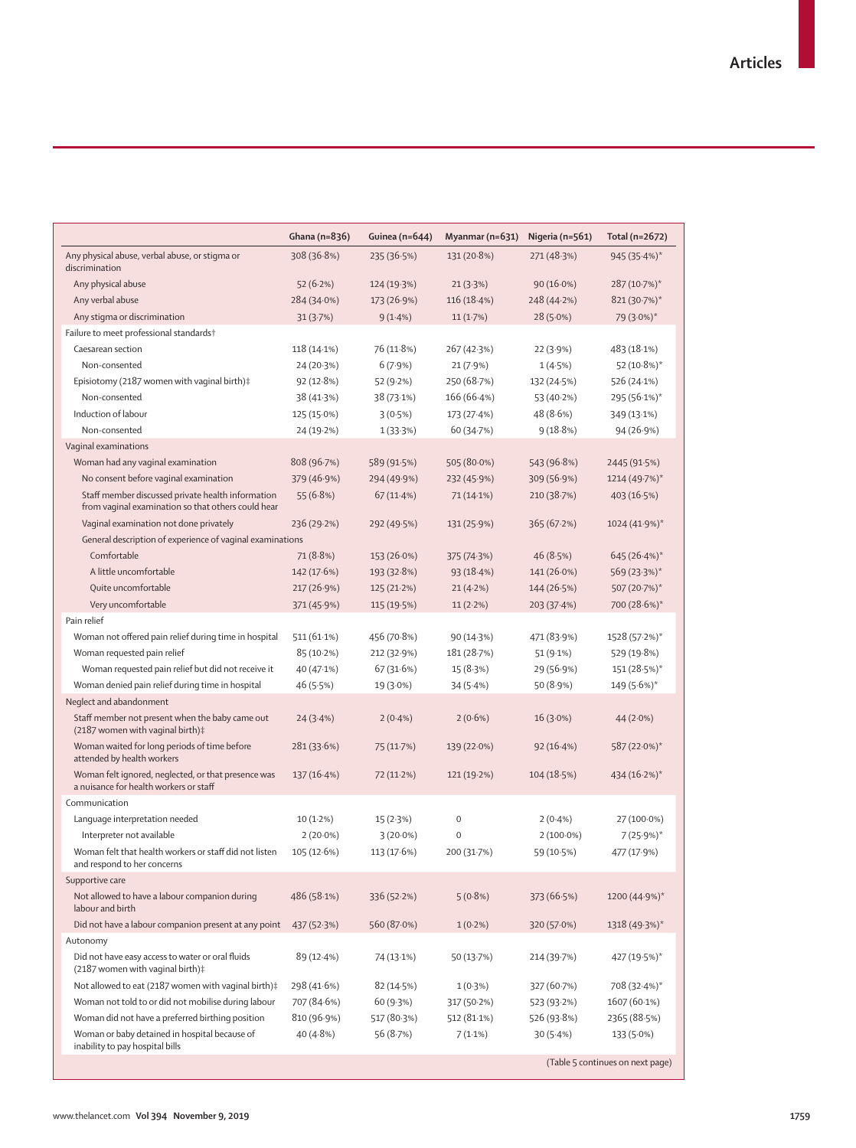|                                                                                                         | Ghana (n=836) | Guinea (n=644) | Myanmar ( $n=631$ ) | Nigeria (n=561) | Total (n=2672)                   |
|---------------------------------------------------------------------------------------------------------|---------------|----------------|---------------------|-----------------|----------------------------------|
| Any physical abuse, verbal abuse, or stigma or<br>discrimination                                        | 308 (36.8%)   | 235 (36.5%)    | 131 (20.8%)         | 271 (48.3%)     | 945 (35.4%)*                     |
| Any physical abuse                                                                                      | 52(6.2%)      | 124 (19.3%)    | 21(3.3%)            | $90(16.0\%)$    | 287 (10.7%)*                     |
| Any verbal abuse                                                                                        | 284 (34.0%)   | 173 (26.9%)    | 116 (18.4%)         | 248 (44.2%)     | 821 (30.7%)*                     |
| Any stigma or discrimination                                                                            | 31(3.7%)      | 9(1.4%)        | 11(1.7%)            | $28(5.0\%)$     | 79 (3.0%)*                       |
| Failure to meet professional standards+                                                                 |               |                |                     |                 |                                  |
| Caesarean section                                                                                       | $118(14.1\%)$ | 76 (11.8%)     | 267(42.3%)          | 22(3.9%)        | 483 (18.1%)                      |
| Non-consented                                                                                           | 24 (20.3%)    | 6(7.9%)        | 21(7.9%)            | 1(4.5%)         | 52 (10.8%)*                      |
| Episiotomy (2187 women with vaginal birth)‡                                                             | 92(12.8%)     | 52 (9.2%)      | 250 (68.7%)         | 132 (24.5%)     | 526 (24.1%)                      |
| Non-consented                                                                                           | 38 (41.3%)    | 38 (73.1%)     | 166 (66.4%)         | 53 (40.2%)      | 295 (56.1%)*                     |
| Induction of labour                                                                                     | 125 (15.0%)   | 3(0.5%)        | 173 (27.4%)         | 48 (8.6%)       | 349 (13.1%)                      |
| Non-consented                                                                                           | 24 (19.2%)    | 1(33.3%)       | 60 (34.7%)          | 9(18.8%)        | 94 (26.9%)                       |
| Vaginal examinations                                                                                    |               |                |                     |                 |                                  |
| Woman had any vaginal examination                                                                       | 808 (96.7%)   | 589 (91.5%)    | 505 (80.0%)         | 543 (96.8%)     | 2445 (91.5%)                     |
| No consent before vaginal examination                                                                   | 379 (46.9%)   | 294 (49.9%)    | 232 (45.9%)         | 309 (56.9%)     | 1214 (49.7%)*                    |
| Staff member discussed private health information<br>from vaginal examination so that others could hear | 55(6.8%)      | 67(11.4%)      | 71 (14.1%)          | 210 (38.7%)     | 403 (16.5%)                      |
| Vaginal examination not done privately                                                                  | 236 (29.2%)   | 292 (49.5%)    | 131 (25.9%)         | 365(67.2%)      | $1024(41.9%)$ *                  |
| General description of experience of vaginal examinations                                               |               |                |                     |                 |                                  |
| Comfortable                                                                                             | 71 (8.8%)     | 153 (26.0%)    | 375 (74.3%)         | 46 (8.5%)       | $645(26.4%)$ *                   |
| A little uncomfortable                                                                                  | 142 (17.6%)   | 193 (32.8%)    | 93(18.4%)           | 141 (26.0%)     | $569(23.3%)$ *                   |
| Quite uncomfortable                                                                                     | 217 (26.9%)   | 125 (21.2%)    | 21(4.2%)            | 144 (26.5%)     | 507 (20.7%)*                     |
| Very uncomfortable                                                                                      | 371 (45.9%)   | 115 (19.5%)    | 11(2.2%)            | 203 (37.4%)     | 700 (28.6%)*                     |
| Pain relief                                                                                             |               |                |                     |                 |                                  |
| Woman not offered pain relief during time in hospital                                                   | $511(61.1\%)$ | 456 (70.8%)    | 90 (14.3%)          | 471 (83.9%)     | 1528 (57.2%)*                    |
| Woman requested pain relief                                                                             | 85 (10.2%)    | 212 (32.9%)    | 181 (28.7%)         | 51 (9.1%)       | 529 (19.8%)                      |
| Woman requested pain relief but did not receive it                                                      | 40 (47.1%)    | 67 (31.6%)     | 15 (8.3%)           | 29 (56.9%)      | 151 (28.5%)*                     |
| Woman denied pain relief during time in hospital                                                        | 46 (5.5%)     | 19 (3.0%)      | 34 (5.4%)           | 50 (8.9%)       | 149 (5.6%)*                      |
| Neglect and abandonment                                                                                 |               |                |                     |                 |                                  |
| Staff member not present when the baby came out<br>(2187 women with vaginal birth)‡                     | 24(3.4%)      | $2(0.4\%)$     | $2(0.6\%)$          | $16(3.0\%)$     | 44(2.0%)                         |
| Woman waited for long periods of time before<br>attended by health workers                              | 281 (33.6%)   | 75 (11.7%)     | 139 (22.0%)         | 92(16.4%)       | 587 (22.0%)*                     |
| Woman felt ignored, neglected, or that presence was<br>a nuisance for health workers or staff           | 137(16.4%)    | 72 (11.2%)     | 121 (19.2%)         | 104(18.5%)      | $434(16.2%)$ *                   |
| Communication                                                                                           |               |                |                     |                 |                                  |
| Language interpretation needed                                                                          | $10(1.2\%)$   | 15(2.3%)       | $\mathbf 0$         | $2(0.4\%)$      | 27 (100.0%)                      |
| Interpreter not available                                                                               | $2(20.0\%)$   | $3(20.0\%)$    | $\mathbf 0$         | $2(100.0\%)$    | $7(25.9%)$ *                     |
| Woman felt that health workers or staff did not listen<br>and respond to her concerns                   | 105(12.6%)    | 113 (17.6%)    | 200 (31.7%)         | 59 (10.5%)      | 477 (17.9%)                      |
| Supportive care                                                                                         |               |                |                     |                 |                                  |
| Not allowed to have a labour companion during<br>labour and birth                                       | 486 (58.1%)   | 336 (52.2%)    | 5(0.8%)             | 373 (66.5%)     | 1200 (44.9%)*                    |
| Did not have a labour companion present at any point                                                    | 437 (52.3%)   | 560 (87.0%)    | $1(0.2\%)$          | 320 (57.0%)     | $1318(49.3%)$ *                  |
| Autonomy                                                                                                |               |                |                     |                 |                                  |
| Did not have easy access to water or oral fluids<br>(2187 women with vaginal birth)‡                    | 89 (12.4%)    | 74 (13.1%)     | 50 (13.7%)          | 214 (39.7%)     | 427 (19.5%)*                     |
| Not allowed to eat (2187 women with vaginal birth)‡                                                     | 298 (41.6%)   | 82 (14.5%)     | 1(0.3%)             | 327 (60.7%)     | 708 (32.4%)*                     |
| Woman not told to or did not mobilise during labour                                                     | 707 (84.6%)   | 60 (9.3%)      | 317 (50.2%)         | 523 (93.2%)     | 1607 (60.1%)                     |
| Woman did not have a preferred birthing position                                                        | 810 (96.9%)   | 517 (80.3%)    | 512 (81.1%)         | 526 (93.8%)     | 2365 (88.5%)                     |
| Woman or baby detained in hospital because of                                                           | 40 (4.8%)     | 56 (8.7%)      | $7(1.1\%)$          | 30(5.4%)        | $133(5.0\%)$                     |
| inability to pay hospital bills                                                                         |               |                |                     |                 | (Table 5 continues on next page) |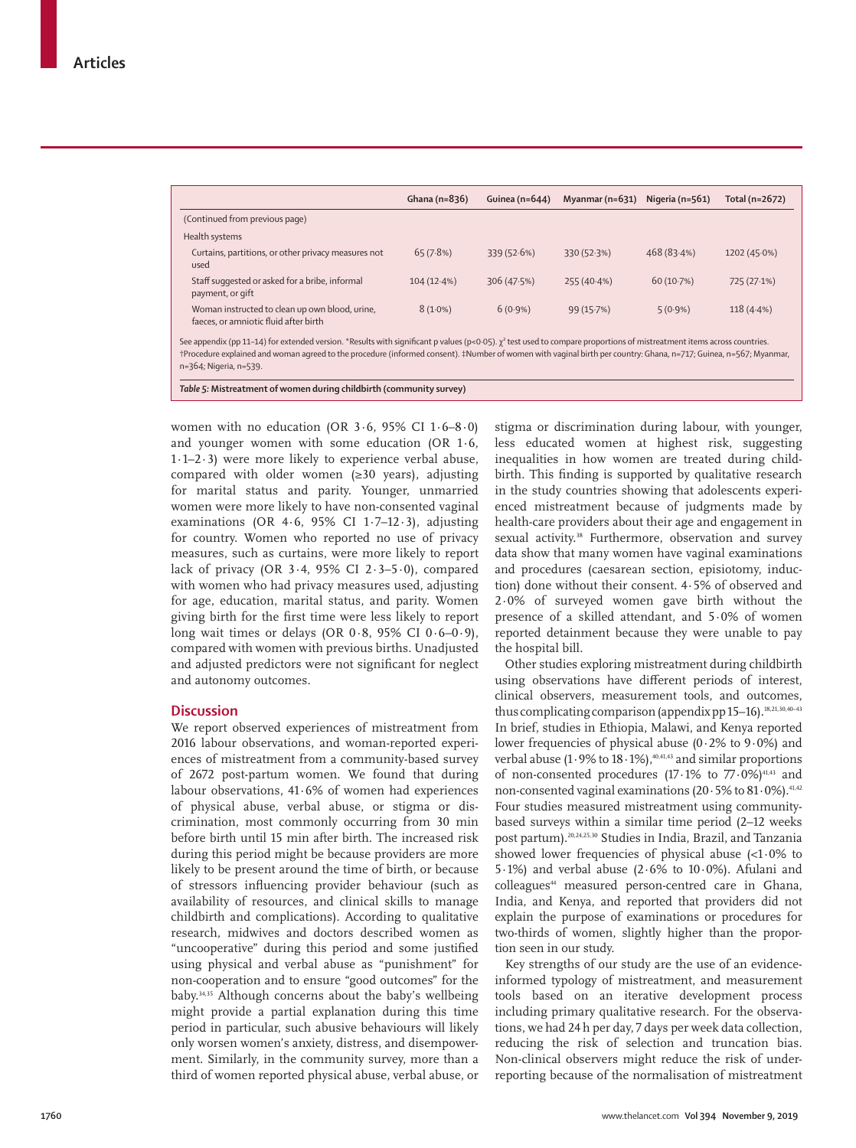|                                                                                                                                                                              | Ghana $(n=836)$ | Guinea (n=644) | Myanmar (n=631) | Nigeria (n=561) | Total (n=2672) |
|------------------------------------------------------------------------------------------------------------------------------------------------------------------------------|-----------------|----------------|-----------------|-----------------|----------------|
| (Continued from previous page)                                                                                                                                               |                 |                |                 |                 |                |
| Health systems                                                                                                                                                               |                 |                |                 |                 |                |
| Curtains, partitions, or other privacy measures not<br>used                                                                                                                  | 65(7.8%)        | 339 (52.6%)    | 330 (52.3%)     | 468 (83.4%)     | 1202 (45.0%)   |
| Staff suggested or asked for a bribe, informal<br>payment, or gift                                                                                                           | 104(12.4%)      | 306 (47.5%)    | 255 (40.4%)     | 60 (10.7%)      | 725 (27.1%)    |
| Woman instructed to clean up own blood, urine,<br>faeces, or amniotic fluid after birth                                                                                      | $8(1.0\%)$      | $6(0.9\%)$     | 99 (15.7%)      | $5(0.9\%)$      | $118(4.4\%)$   |
| See appendix (pp 11-14) for extended version. *Results with significant p values (p<0.05). $\chi^2$ test used to compare proportions of mistreatment items across countries. |                 |                |                 |                 |                |

†Procedure explained and woman agreed to the procedure (informed consent). ‡Number of women with vaginal birth per country: Ghana, n=717; Guinea, n=567; Myanmar, n=364; Nigeria, n=539.

*Table 5:* **Mistreatment of women during childbirth (community survey)**

women with no education (OR 3 $\cdot$  6, 95% CI 1 $\cdot$  6-8 $\cdot$ 0) and younger women with some education (OR 1·6, 1·1–2·3) were more likely to experience verbal abuse, compared with older women (≥30 years), adjusting for marital status and parity. Younger, unmarried women were more likely to have non-consented vaginal examinations (OR 4·6, 95% CI 1·7–12·3), adjusting for country. Women who reported no use of privacy measures, such as curtains, were more likely to report lack of privacy (OR  $3.4$ , 95% CI  $2.3-5.0$ ), compared with women who had privacy measures used, adjusting for age, education, marital status, and parity. Women giving birth for the first time were less likely to report long wait times or delays (OR  $0.8$ , 95% CI  $0.6-0.9$ ), compared with women with previous births. Unadjusted and adjusted predictors were not significant for neglect and autonomy outcomes.

# **Discussion**

We report observed experiences of mistreatment from 2016 labour observations, and woman-reported experiences of mistreatment from a community-based survey of 2672 post-partum women. We found that during labour observations, 41·6% of women had experiences of physical abuse, verbal abuse, or stigma or discrimination, most commonly occurring from 30 min before birth until 15 min after birth. The increased risk during this period might be because providers are more likely to be present around the time of birth, or because of stressors influencing provider behaviour (such as availability of resources, and clinical skills to manage childbirth and complications). According to qualitative research, midwives and doctors described women as "uncooperative" during this period and some justified using physical and verbal abuse as "punishment" for non-cooperation and to ensure "good outcomes" for the baby.34,35 Although concerns about the baby's wellbeing might provide a partial explanation during this time period in particular, such abusive behaviours will likely only worsen women's anxiety, distress, and disempowerment. Similarly, in the community survey, more than a third of women reported physical abuse, verbal abuse, or

stigma or discrimination during labour, with younger, less educated women at highest risk, suggesting inequalities in how women are treated during childbirth. This finding is supported by qualitative research in the study countries showing that adolescents experienced mistreatment because of judgments made by health-care providers about their age and engagement in sexual activity. 38 Furthermore, observation and survey data show that many women have vaginal examinations and procedures (caesarean section, episiotomy, induction) done without their consent. 4·5% of observed and 2·0% of surveyed women gave birth without the presence of a skilled attendant, and 5·0% of women reported detainment because they were unable to pay the hospital bill.

Other studies exploring mistreatment during childbirth using observations have different periods of interest, clinical observers, measurement tools, and outcomes, thus complicating comparison (appendix pp  $15-16$ ).<sup>18,21,30,40-43</sup> In brief, studies in Ethiopia, Malawi, and Kenya reported lower frequencies of physical abuse  $(0.2%$  to  $9.0%)$  and verbal abuse (1 $\cdot$ 9% to 18 $\cdot$ 1%),<sup>40,41,43</sup> and similar proportions of non-consented procedures  $(17.1\%$  to  $77.0\%)^{41,43}$  and non-consented vaginal examinations (20 · 5% to 81 · 0%).<sup>41,42</sup> Four studies measured mistreatment using communitybased surveys within a similar time period (2–12 weeks post partum).20,24,25,30 Studies in India, Brazil, and Tanzania showed lower frequencies of physical abuse  $\langle$ <1.0% to 5 $\cdot$ 1%) and verbal abuse (2 $\cdot$ 6% to 10 $\cdot$ 0%). Afulani and colleagues<sup>44</sup> measured person-centred care in Ghana, India, and Kenya, and reported that providers did not explain the purpose of examinations or procedures for two-thirds of women, slightly higher than the proportion seen in our study.

Key strengths of our study are the use of an evidenceinformed typology of mistreatment, and measurement tools based on an iterative development process including primary qualitative research. For the observations, we had 24 h per day, 7 days per week data collection, reducing the risk of selection and truncation bias. Non-clinical observers might reduce the risk of underreporting because of the normalisation of mistreatment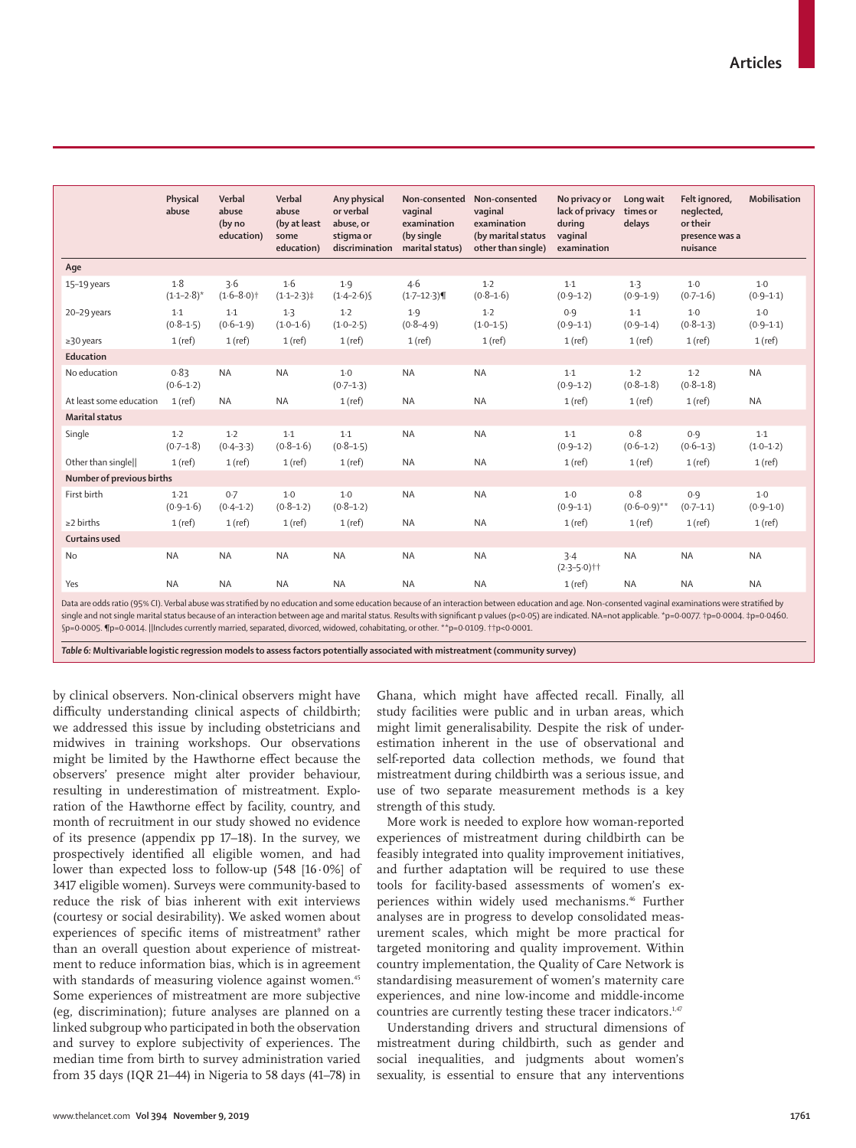|                           | Physical<br>abuse      | Verbal<br>abuse<br>(by no<br>education) | Verbal<br>abuse<br>(by at least<br>some<br>education) | Any physical<br>or verbal<br>abuse, or<br>stigma or<br>discrimination | Non-consented<br>vaginal<br>examination<br>(by single<br>marital status) | Non-consented<br>vaginal<br>examination<br>(by marital status<br>other than single) | No privacy or<br>lack of privacy<br>during<br>vaginal<br>examination | Long wait<br>times or<br>delays | Felt ignored,<br>neglected,<br>or their<br>presence was a<br>nuisance | Mobilisation           |
|---------------------------|------------------------|-----------------------------------------|-------------------------------------------------------|-----------------------------------------------------------------------|--------------------------------------------------------------------------|-------------------------------------------------------------------------------------|----------------------------------------------------------------------|---------------------------------|-----------------------------------------------------------------------|------------------------|
| Age                       |                        |                                         |                                                       |                                                                       |                                                                          |                                                                                     |                                                                      |                                 |                                                                       |                        |
| 15-19 years               | 1.8<br>$(1.1 - 2.8)^*$ | 3.6<br>$(1.6 - 8.0)$ <sup>+</sup>       | 1·6<br>$(1.1 - 2.3)$                                  | 1.9<br>$(1.4 - 2.6)$                                                  | 4.6<br>$(1.7 - 12.3)$                                                    | $1-2$<br>$(0.8 - 1.6)$                                                              | $1-1$<br>$(0.9 - 1.2)$                                               | 1.3<br>$(0.9 - 1.9)$            | $1-0$<br>$(0.7 - 1.6)$                                                | $1-0$<br>$(0.9 - 1.1)$ |
| 20-29 years               | $1-1$<br>$(0.8 - 1.5)$ | $1-1$<br>$(0.6-1.9)$                    | $1-3$<br>$(1.0 - 1.6)$                                | $1-2$<br>$(1.0 - 2.5)$                                                | 1.9<br>$(0.8 - 4.9)$                                                     | $1-2$<br>$(1.0 - 1.5)$                                                              | 0.9<br>$(0.9 - 1.1)$                                                 | $1-1$<br>$(0.9 - 1.4)$          | $1-0$<br>$(0.8-1.3)$                                                  | $1-0$<br>$(0.9 - 1.1)$ |
| $\geq$ 30 years           | $1$ (ref)              | $1$ (ref)                               | $1$ (ref)                                             | $1$ (ref)                                                             | $1$ (ref)                                                                | $1$ (ref)                                                                           | $1$ (ref)                                                            | $1$ (ref)                       | $1$ (ref)                                                             | $1$ (ref)              |
| Education                 |                        |                                         |                                                       |                                                                       |                                                                          |                                                                                     |                                                                      |                                 |                                                                       |                        |
| No education              | 0.83<br>$(0.6 - 1.2)$  | <b>NA</b>                               | <b>NA</b>                                             | $1-0$<br>$(0.7 - 1.3)$                                                | <b>NA</b>                                                                | <b>NA</b>                                                                           | $1.1\,$<br>$(0.9 - 1.2)$                                             | $1-2$<br>$(0.8 - 1.8)$          | $1-2$<br>$(0.8 - 1.8)$                                                | <b>NA</b>              |
| At least some education   | $1$ (ref)              | <b>NA</b>                               | <b>NA</b>                                             | $1$ (ref)                                                             | <b>NA</b>                                                                | <b>NA</b>                                                                           | $1$ (ref)                                                            | $1$ (ref)                       | $1$ (ref)                                                             | <b>NA</b>              |
| <b>Marital status</b>     |                        |                                         |                                                       |                                                                       |                                                                          |                                                                                     |                                                                      |                                 |                                                                       |                        |
| Single                    | $1-2$<br>$(0.7 - 1.8)$ | $1-2$<br>$(0.4 - 3.3)$                  | $1-1$<br>$(0.8 - 1.6)$                                | $1-1$<br>$(0.8 - 1.5)$                                                | <b>NA</b>                                                                | <b>NA</b>                                                                           | $1-1$<br>$(0.9 - 1.2)$                                               | 0.8<br>$(0.6 - 1.2)$            | 0.9<br>$(0.6 - 1.3)$                                                  | $1-1$<br>$(1.0 - 1.2)$ |
| Other than singlell       | $1$ (ref)              | $1$ (ref)                               | $1$ (ref)                                             | $1$ (ref)                                                             | <b>NA</b>                                                                | <b>NA</b>                                                                           | $1$ (ref)                                                            | $1$ (ref)                       | $1$ (ref)                                                             | $1$ (ref)              |
| Number of previous births |                        |                                         |                                                       |                                                                       |                                                                          |                                                                                     |                                                                      |                                 |                                                                       |                        |
| First birth               | 1.21<br>$(0.9 - 1.6)$  | 0.7<br>$(0.4 - 1.2)$                    | $1-0$<br>$(0.8-1.2)$                                  | $1-0$<br>$(0.8-1.2)$                                                  | <b>NA</b>                                                                | <b>NA</b>                                                                           | $1-0$<br>$(0.9 - 1.1)$                                               | 0.8<br>$(0.6 - 0.9)^{**}$       | 0.9<br>$(0.7 - 1.1)$                                                  | $1-0$<br>$(0.9 - 1.0)$ |
| $\geq$ 2 births           | $1$ (ref)              | $1$ (ref)                               | $1$ (ref)                                             | $1$ (ref)                                                             | <b>NA</b>                                                                | <b>NA</b>                                                                           | $1$ (ref)                                                            | $1$ (ref)                       | 1(ref)                                                                | $1$ (ref)              |
| <b>Curtains used</b>      |                        |                                         |                                                       |                                                                       |                                                                          |                                                                                     |                                                                      |                                 |                                                                       |                        |
| <b>No</b>                 | <b>NA</b>              | <b>NA</b>                               | <b>NA</b>                                             | <b>NA</b>                                                             | <b>NA</b>                                                                | <b>NA</b>                                                                           | 3.4<br>$(2.3 - 5.0)$ † †                                             | <b>NA</b>                       | <b>NA</b>                                                             | <b>NA</b>              |
| Yes                       | <b>NA</b>              | <b>NA</b>                               | <b>NA</b>                                             | <b>NA</b>                                                             | <b>NA</b>                                                                | <b>NA</b>                                                                           | $1$ (ref)                                                            | <b>NA</b>                       | <b>NA</b>                                                             | <b>NA</b>              |
|                           |                        |                                         |                                                       |                                                                       |                                                                          |                                                                                     |                                                                      |                                 |                                                                       |                        |

Data are odds ratio (95% CI). Verbal abuse was stratified by no education and some education because of an interaction between education and age. Non-consented vaginal examinations were stratified by single and not single marital status because of an interaction between age and marital status. Results with significant p values (p<0·05) are indicated. NA=not applicable. \*p=0·0077. †p=0·0004. ‡p=0·0460. §p=0·0005. ¶p=0·0014. ||Includes currently married, separated, divorced, widowed, cohabitating, or other. \*\*p=0·0109. ††p<0·0001.

*Table 6:* **Multivariable logistic regression models to assess factors potentially associated with mistreatment (community survey)**

by clinical observers. Non-clinical observers might have difficulty understanding clinical aspects of childbirth; we addressed this issue by including obstetricians and midwives in training workshops. Our observations might be limited by the Hawthorne effect because the observers' presence might alter provider behaviour, resulting in underestimation of mistreatment. Exploration of the Hawthorne effect by facility, country, and month of recruitment in our study showed no evidence of its presence (appendix pp 17–18). In the survey, we prospectively identified all eligible women, and had lower than expected loss to follow-up (548 [16·0%] of 3417 eligible women). Surveys were community-based to reduce the risk of bias inherent with exit interviews (courtesy or social desirability). We asked women about experiences of specific items of mistreatment<sup>9</sup> rather than an overall question about experience of mistreatment to reduce information bias, which is in agreement with standards of measuring violence against women.<sup>45</sup> Some experiences of mistreatment are more subjective (eg, discrimination); future analyses are planned on a linked subgroup who participated in both the observation and survey to explore subjectivity of experiences. The median time from birth to survey administration varied from 35 days (IQR 21–44) in Nigeria to 58 days (41–78) in

Ghana, which might have affected recall. Finally, all study facilities were public and in urban areas, which might limit generalisability. Despite the risk of underestimation inherent in the use of observational and self-reported data collection methods, we found that mistreatment during childbirth was a serious issue, and use of two separate measurement methods is a key strength of this study.

More work is needed to explore how woman-reported experiences of mistreatment during childbirth can be feasibly integrated into quality improvement initiatives, and further adaptation will be required to use these tools for facility-based assessments of women's experiences within widely used mechanisms.<sup>46</sup> Further analyses are in progress to develop consolidated measurement scales, which might be more practical for targeted monitoring and quality improvement. Within country implementation, the Quality of Care Network is standardising measurement of women's maternity care experiences, and nine low-income and middle-income countries are currently testing these tracer indicators.<sup>1,47</sup>

Understanding drivers and structural dimensions of mistreatment during childbirth, such as gender and social inequalities, and judgments about women's sexuality, is essential to ensure that any interventions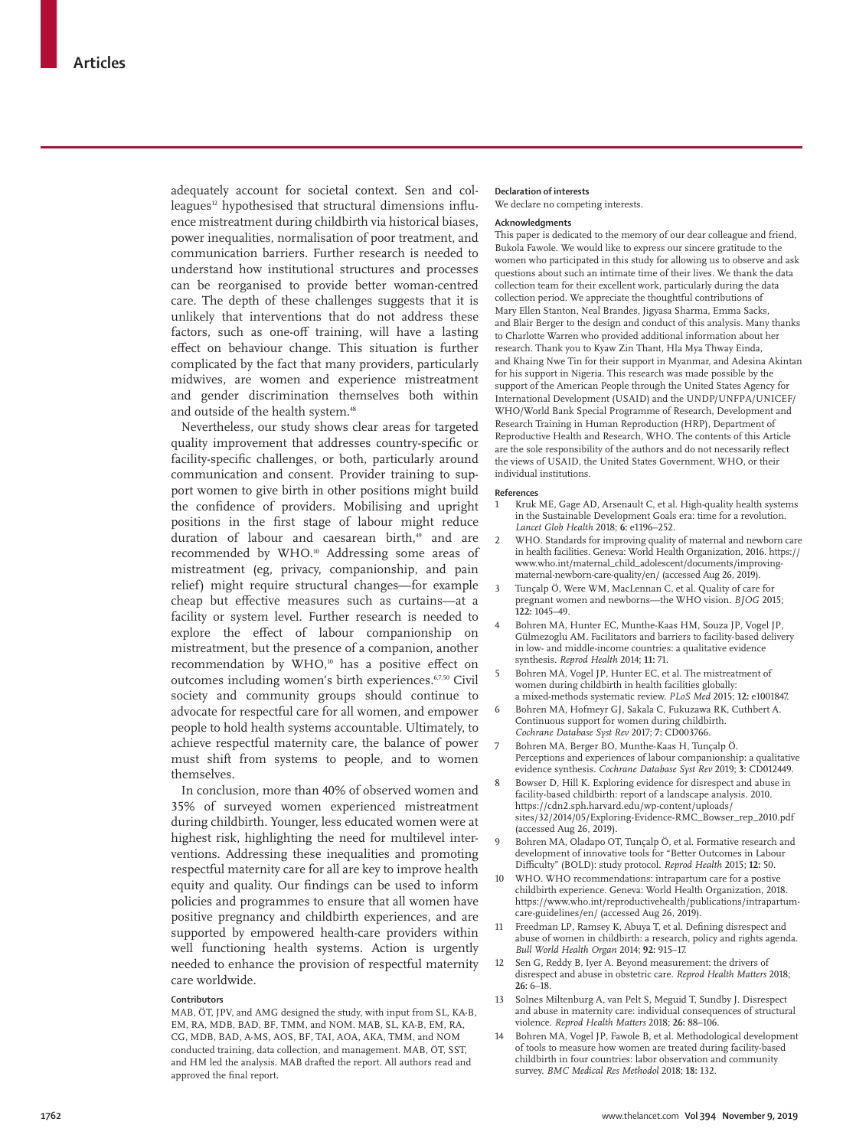adequately account for societal context. Sen and colleagues<sup>12</sup> hypothesised that structural dimensions influence mistreatment during childbirth via historical biases, power inequalities, normalisation of poor treatment, and communication barriers. Further research is needed to understand how institutional structures and processes can be reorganised to provide better woman-centred care. The depth of these challenges suggests that it is unlikely that interventions that do not address these factors, such as one-off training, will have a lasting effect on behaviour change. This situation is further complicated by the fact that many providers, particularly midwives, are women and experience mistreatment and gender discrimination themselves both within and outside of the health system.<sup>48</sup>

Nevertheless, our study shows clear areas for targeted quality improvement that addresses country-specific or facility-specific challenges, or both, particularly around communication and consent. Provider training to support women to give birth in other positions might build the confidence of providers. Mobilising and upright positions in the first stage of labour might reduce duration of labour and caesarean birth,<sup>49</sup> and are recommended by WHO.<sup>10</sup> Addressing some areas of mistreatment (eg, privacy, companionship, and pain relief) might require structural changes—for example cheap but effective measures such as curtains—at a facility or system level. Further research is needed to explore the effect of labour companionship on mistreatment, but the presence of a companion, another recommendation by WHO,<sup>10</sup> has a positive effect on outcomes including women's birth experiences.6,7,50 Civil society and community groups should continue to advocate for respectful care for all women, and empower people to hold health systems accountable. Ultimately, to achieve respectful maternity care, the balance of power must shift from systems to people, and to women themselves.

In conclusion, more than 40% of observed women and 35% of surveyed women experienced mistreatment during childbirth. Younger, less educated women were at highest risk, highlighting the need for multilevel interventions. Addressing these inequalities and promoting respectful maternity care for all are key to improve health equity and quality. Our findings can be used to inform policies and programmes to ensure that all women have positive pregnancy and childbirth experiences, and are supported by empowered health-care providers within well functioning health systems. Action is urgently needed to enhance the provision of respectful maternity care worldwide.

#### **Contributors**

MAB, ÖT, JPV, and AMG designed the study, with input from SL, KA-B, EM, RA, MDB, BAD, BF, TMM, and NOM. MAB, SL, KA-B, EM, RA, CG, MDB, BAD, A-MS, AOS, BF, TAI, AOA, AKA, TMM, and NOM conducted training, data collection, and management. MAB, ÖT, SST, and HM led the analysis. MAB drafted the report. All authors read and approved the final report.

# **Declaration of interests**

We declare no competing interests.

# **Acknowledgments**

This paper is dedicated to the memory of our dear colleague and friend, Bukola Fawole. We would like to express our sincere gratitude to the women who participated in this study for allowing us to observe and ask questions about such an intimate time of their lives. We thank the data collection team for their excellent work, particularly during the data collection period. We appreciate the thoughtful contributions of Mary Ellen Stanton, Neal Brandes, Jigyasa Sharma, Emma Sacks, and Blair Berger to the design and conduct of this analysis. Many thanks to Charlotte Warren who provided additional information about her research. Thank you to Kyaw Zin Thant, Hla Mya Thway Einda, and Khaing Nwe Tin for their support in Myanmar, and Adesina Akintan for his support in Nigeria. This research was made possible by the support of the American People through the United States Agency for International Development (USAID) and the UNDP/UNFPA/UNICEF/ WHO/World Bank Special Programme of Research, Development and Research Training in Human Reproduction (HRP), Department of Reproductive Health and Research, WHO. The contents of this Article are the sole responsibility of the authors and do not necessarily reflect the views of USAID, the United States Government, WHO, or their individual institutions.

#### **References**

- Kruk ME, Gage AD, Arsenault C, et al. High-quality health systems in the Sustainable Development Goals era: time for a revolution. *Lancet Glob Health* 2018; **6:** e1196–252.
- 2 WHO. Standards for improving quality of maternal and newborn care in health facilities. Geneva: World Health Organization, 2016. https:// www.who.int/maternal\_child\_adolescent/documents/improvingmaternal-newborn-care-quality/en/ (accessed Aug 26, 2019).
- Tunçalp Ö, Were WM, MacLennan C, et al. Quality of care for pregnant women and newborns—the WHO vision. *BJOG* 2015; **122:** 1045–49.
- 4 Bohren MA, Hunter EC, Munthe-Kaas HM, Souza JP, Vogel JP, Gülmezoglu AM. Facilitators and barriers to facility-based delivery in low- and middle-income countries: a qualitative evidence synthesis. *Reprod Health* 2014; **11:** 71.
- 5 Bohren MA, Vogel JP, Hunter EC, et al. The mistreatment of women during childbirth in health facilities globally: a mixed-methods systematic review. *PLoS Med* 2015; **12:** e1001847.
- 6 Bohren MA, Hofmeyr GJ, Sakala C, Fukuzawa RK, Cuthbert A. Continuous support for women during childbirth. *Cochrane Database Syst Rev* 2017; **7:** CD003766.
- 7 Bohren MA, Berger BO, Munthe-Kaas H, Tunçalp Ö. Perceptions and experiences of labour companionship: a qualitative evidence synthesis. *Cochrane Database Syst Rev* 2019; **3:** CD012449.
- 8 Bowser D, Hill K. Exploring evidence for disrespect and abuse in facility-based childbirth: report of a landscape analysis. 2010. https://cdn2.sph.harvard.edu/wp-content/uploads/ sites/32/2014/05/Exploring-Evidence-RMC\_Bowser\_rep\_2010.pdf (accessed Aug 26, 2019).
- 9 Bohren MA, Oladapo OT, Tunçalp Ö, et al. Formative research and development of innovative tools for "Better Outcomes in Labour Difficulty" (BOLD): study protocol. *Reprod Health* 2015; **12:** 50.
- 10 WHO. WHO recommendations: intrapartum care for a postive childbirth experience. Geneva: World Health Organization, 2018. https://www.who.int/reproductivehealth/publications/intrapartumcare-guidelines/en/ (accessed Aug 26, 2019).
- 11 Freedman LP, Ramsey K, Abuya T, et al. Defining disrespect and abuse of women in childbirth: a research, policy and rights agenda. *Bull World Health Organ* 2014; **92:** 915–17.
- 12 Sen G, Reddy B, Iyer A. Beyond measurement: the drivers of disrespect and abuse in obstetric care. *Reprod Health Matters* 2018; **26:** 6–18.
- 13 Solnes Miltenburg A, van Pelt S, Meguid T, Sundby J. Disrespect and abuse in maternity care: individual consequences of structural violence. *Reprod Health Matters* 2018; **26:** 88–106.
- 14 Bohren MA, Vogel JP, Fawole B, et al. Methodological development of tools to measure how women are treated during facility-based childbirth in four countries: labor observation and community survey. *BMC Medical Res Methodol* 2018; **18:** 132.